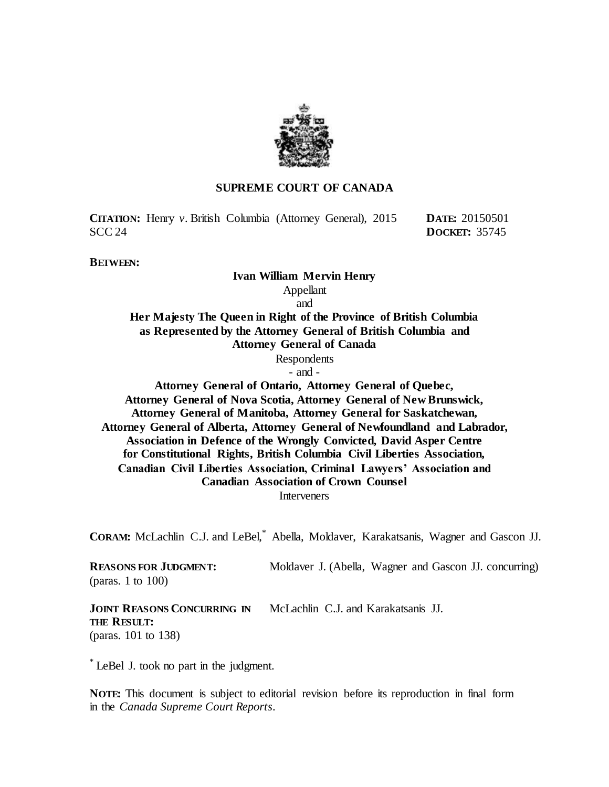

### **SUPREME COURT OF CANADA**

**CITATION:** Henry *v.* British Columbia (Attorney General), 2015 SCC 24

**DATE:** 20150501 **DOCKET:** 35745

**BETWEEN:**

# **Ivan William Mervin Henry**

Appellant

and **Her Majesty The Queen in Right of the Province of British Columbia as Represented by the Attorney General of British Columbia and Attorney General of Canada** Respondents - and - **Attorney General of Ontario, Attorney General of Quebec, Attorney General of Nova Scotia, Attorney General of New Brunswick,** 

**Attorney General of Manitoba, Attorney General for Saskatchewan, Attorney General of Alberta, Attorney General of Newfoundland and Labrador, Association in Defence of the Wrongly Convicted, David Asper Centre for Constitutional Rights, British Columbia Civil Liberties Association, Canadian Civil Liberties Association, Criminal Lawyers' Association and Canadian Association of Crown Counsel Interveners** 

**CORAM:** McLachlin C.J. and LeBel,\* Abella, Moldaver, Karakatsanis, Wagner and Gascon JJ.

**REASONS FOR JUDGMENT:** (paras. 1 to 100)

Moldaver J. (Abella, Wagner and Gascon JJ. concurring)

**JOINT REASONS CONCURRING IN THE RESULT:** (paras. 101 to 138) McLachlin C.J. and Karakatsanis JJ.

\* LeBel J. took no part in the judgment.

**NOTE:** This document is subject to editorial revision before its reproduction in final form in the *Canada Supreme Court Reports*.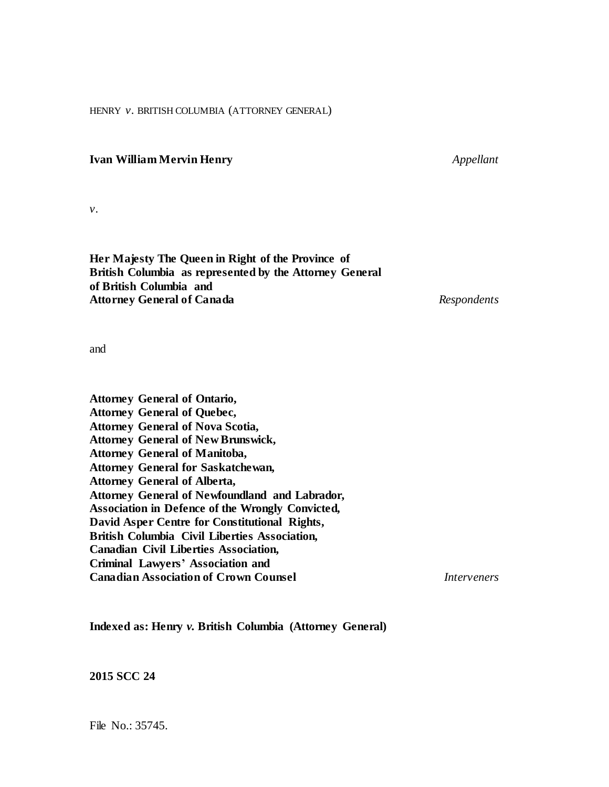HENRY *v.* BRITISH COLUMBIA (ATTORNEY GENERAL)

### **Ivan William Mervin Henry** *Appellant*

*v.*

**Her Majesty The Queen in Right of the Province of British Columbia as represented by the Attorney General of British Columbia and Attorney General of Canada** *Respondents*

and

**Attorney General of Ontario, Attorney General of Quebec, Attorney General of Nova Scotia, Attorney General of New Brunswick, Attorney General of Manitoba, Attorney General for Saskatchewan, Attorney General of Alberta, Attorney General of Newfoundland and Labrador, Association in Defence of the Wrongly Convicted, David Asper Centre for Constitutional Rights, British Columbia Civil Liberties Association, Canadian Civil Liberties Association, Criminal Lawyers' Association and Canadian Association of Crown Counsel** *Interveners*

**Indexed as: Henry** *v.* **British Columbia (Attorney General)**

**2015 SCC 24**

File No.: 35745.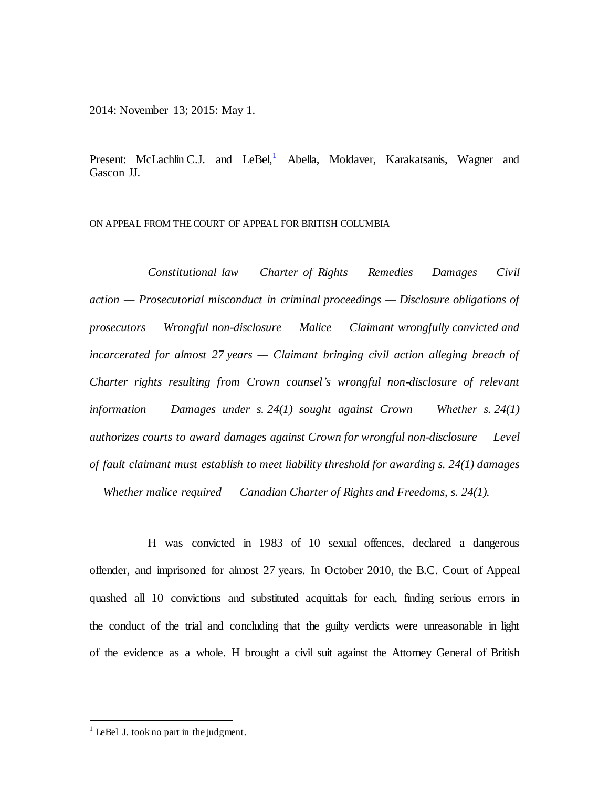2014: November 13; 2015: May 1.

Present: McLachlin C.J. and LeBel, Abella, Moldaver, Karakatsanis, Wagner and Gascon JJ.

ON APPEAL FROM THECOURT OF APPEAL FOR BRITISH COLUMBIA

*Constitutional law — Charter of Rights — Remedies — Damages — Civil action — Prosecutorial misconduct in criminal proceedings — Disclosure obligations of prosecutors — Wrongful non-disclosure — Malice — Claimant wrongfully convicted and incarcerated for almost 27 years — Claimant bringing civil action alleging breach of Charter rights resulting from Crown counsel's wrongful non-disclosure of relevant information — Damages under s. 24(1) sought against Crown — Whether s. 24(1) authorizes courts to award damages against Crown for wrongful non-disclosure — Level of fault claimant must establish to meet liability threshold for awarding s. 24(1) damages — Whether malice required — Canadian Charter of Rights and Freedoms, s. 24(1).*

H was convicted in 1983 of 10 sexual offences, declared a dangerous offender, and imprisoned for almost 27 years. In October 2010, the B.C. Court of Appeal quashed all 10 convictions and substituted acquittals for each, finding serious errors in the conduct of the trial and concluding that the guilty verdicts were unreasonable in light of the evidence as a whole. H brought a civil suit against the Attorney General of British

 $\overline{a}$ 

 $<sup>1</sup>$  LeBel J. took no part in the judgment.</sup>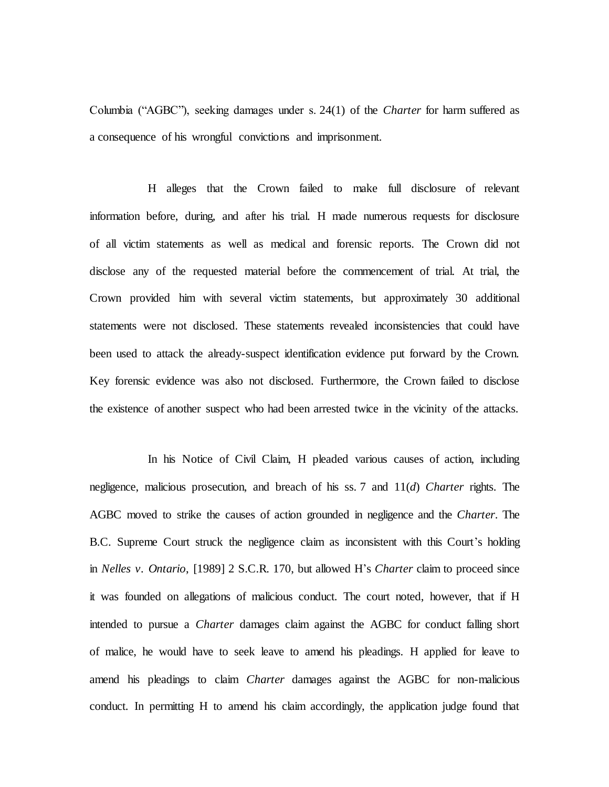Columbia ("AGBC"), seeking damages under s. 24(1) of the *Charter* for harm suffered as a consequence of his wrongful convictions and imprisonment.

H alleges that the Crown failed to make full disclosure of relevant information before, during, and after his trial. H made numerous requests for disclosure of all victim statements as well as medical and forensic reports. The Crown did not disclose any of the requested material before the commencement of trial. At trial, the Crown provided him with several victim statements, but approximately 30 additional statements were not disclosed. These statements revealed inconsistencies that could have been used to attack the already-suspect identification evidence put forward by the Crown. Key forensic evidence was also not disclosed. Furthermore, the Crown failed to disclose the existence of another suspect who had been arrested twice in the vicinity of the attacks.

In his Notice of Civil Claim, H pleaded various causes of action, including negligence, malicious prosecution, and breach of his ss. 7 and 11(*d*) *Charter* rights. The AGBC moved to strike the causes of action grounded in negligence and the *Charter*. The B.C. Supreme Court struck the negligence claim as inconsistent with this Court's holding in *Nelles v. Ontario*, [1989] 2 S.C.R. 170, but allowed H's *Charter* claim to proceed since it was founded on allegations of malicious conduct. The court noted, however, that if H intended to pursue a *Charter* damages claim against the AGBC for conduct falling short of malice, he would have to seek leave to amend his pleadings. H applied for leave to amend his pleadings to claim *Charter* damages against the AGBC for non-malicious conduct. In permitting H to amend his claim accordingly, the application judge found that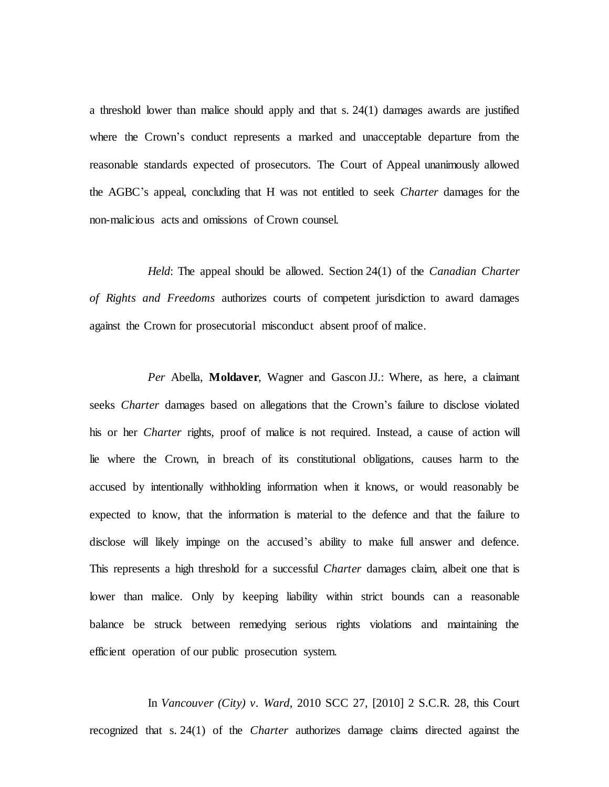a threshold lower than malice should apply and that s. 24(1) damages awards are justified where the Crown's conduct represents a marked and unacceptable departure from the reasonable standards expected of prosecutors. The Court of Appeal unanimously allowed the AGBC's appeal, concluding that H was not entitled to seek *Charter* damages for the non-malicious acts and omissions of Crown counsel.

*Held*: The appeal should be allowed. Section 24(1) of the *Canadian Charter of Rights and Freedoms* authorizes courts of competent jurisdiction to award damages against the Crown for prosecutorial misconduct absent proof of malice.

*Per* Abella, **Moldaver**, Wagner and Gascon JJ.: Where, as here, a claimant seeks *Charter* damages based on allegations that the Crown's failure to disclose violated his or her *Charter* rights, proof of malice is not required. Instead, a cause of action will lie where the Crown, in breach of its constitutional obligations, causes harm to the accused by intentionally withholding information when it knows, or would reasonably be expected to know, that the information is material to the defence and that the failure to disclose will likely impinge on the accused's ability to make full answer and defence. This represents a high threshold for a successful *Charter* damages claim, albeit one that is lower than malice. Only by keeping liability within strict bounds can a reasonable balance be struck between remedying serious rights violations and maintaining the efficient operation of our public prosecution system.

In *Vancouver (City) v. Ward*, 2010 SCC 27, [2010] 2 S.C.R. 28, this Court recognized that s. 24(1) of the *Charter* authorizes damage claims directed against the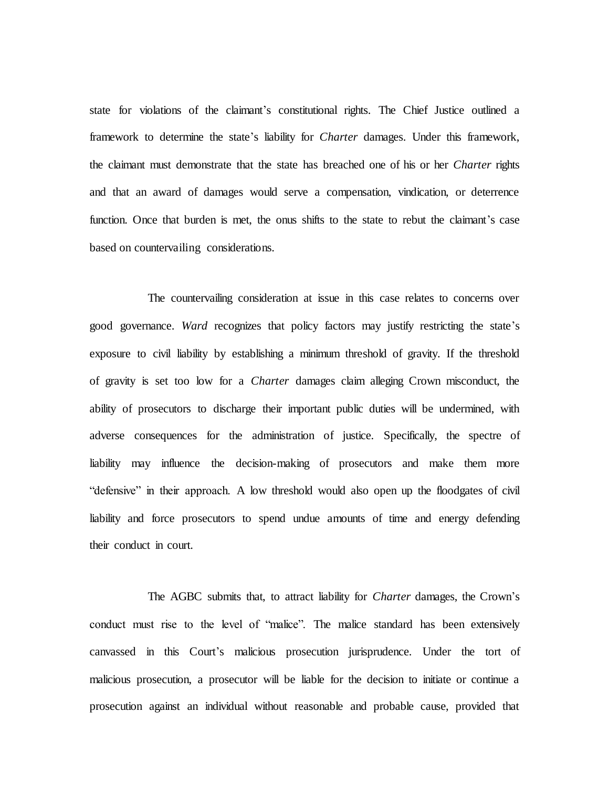state for violations of the claimant's constitutional rights. The Chief Justice outlined a framework to determine the state's liability for *Charter* damages. Under this framework, the claimant must demonstrate that the state has breached one of his or her *Charter* rights and that an award of damages would serve a compensation, vindication, or deterrence function. Once that burden is met, the onus shifts to the state to rebut the claimant's case based on countervailing considerations.

The countervailing consideration at issue in this case relates to concerns over good governance. *Ward* recognizes that policy factors may justify restricting the state's exposure to civil liability by establishing a minimum threshold of gravity. If the threshold of gravity is set too low for a *Charter* damages claim alleging Crown misconduct, the ability of prosecutors to discharge their important public duties will be undermined, with adverse consequences for the administration of justice. Specifically, the spectre of liability may influence the decision-making of prosecutors and make them more "defensive" in their approach. A low threshold would also open up the floodgates of civil liability and force prosecutors to spend undue amounts of time and energy defending their conduct in court.

The AGBC submits that, to attract liability for *Charter* damages, the Crown's conduct must rise to the level of "malice". The malice standard has been extensively canvassed in this Court's malicious prosecution jurisprudence. Under the tort of malicious prosecution, a prosecutor will be liable for the decision to initiate or continue a prosecution against an individual without reasonable and probable cause, provided that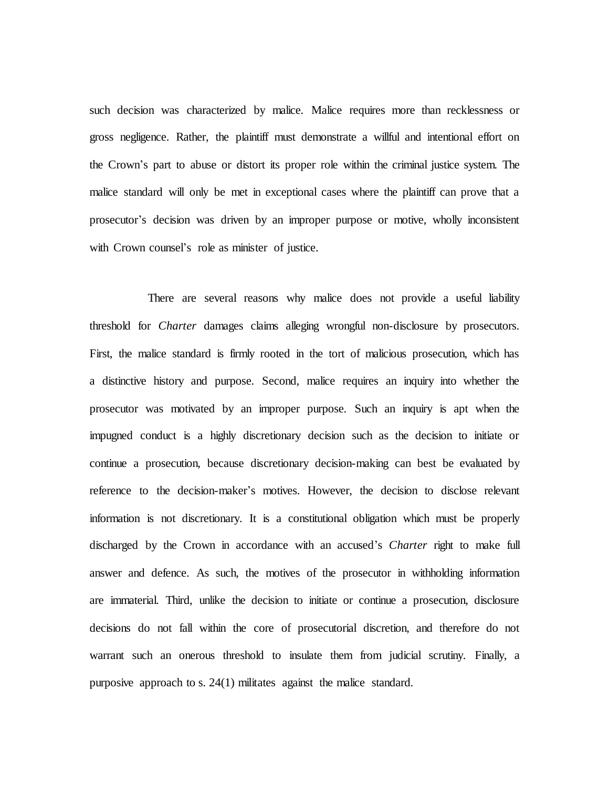such decision was characterized by malice. Malice requires more than recklessness or gross negligence. Rather, the plaintiff must demonstrate a willful and intentional effort on the Crown's part to abuse or distort its proper role within the criminal justice system. The malice standard will only be met in exceptional cases where the plaintiff can prove that a prosecutor's decision was driven by an improper purpose or motive, wholly inconsistent with Crown counsel's role as minister of justice.

There are several reasons why malice does not provide a useful liability threshold for *Charter* damages claims alleging wrongful non-disclosure by prosecutors. First, the malice standard is firmly rooted in the tort of malicious prosecution, which has a distinctive history and purpose. Second, malice requires an inquiry into whether the prosecutor was motivated by an improper purpose. Such an inquiry is apt when the impugned conduct is a highly discretionary decision such as the decision to initiate or continue a prosecution, because discretionary decision-making can best be evaluated by reference to the decision-maker's motives. However, the decision to disclose relevant information is not discretionary. It is a constitutional obligation which must be properly discharged by the Crown in accordance with an accused's *Charter* right to make full answer and defence. As such, the motives of the prosecutor in withholding information are immaterial. Third, unlike the decision to initiate or continue a prosecution, disclosure decisions do not fall within the core of prosecutorial discretion, and therefore do not warrant such an onerous threshold to insulate them from judicial scrutiny. Finally, a purposive approach to s. 24(1) militates against the malice standard.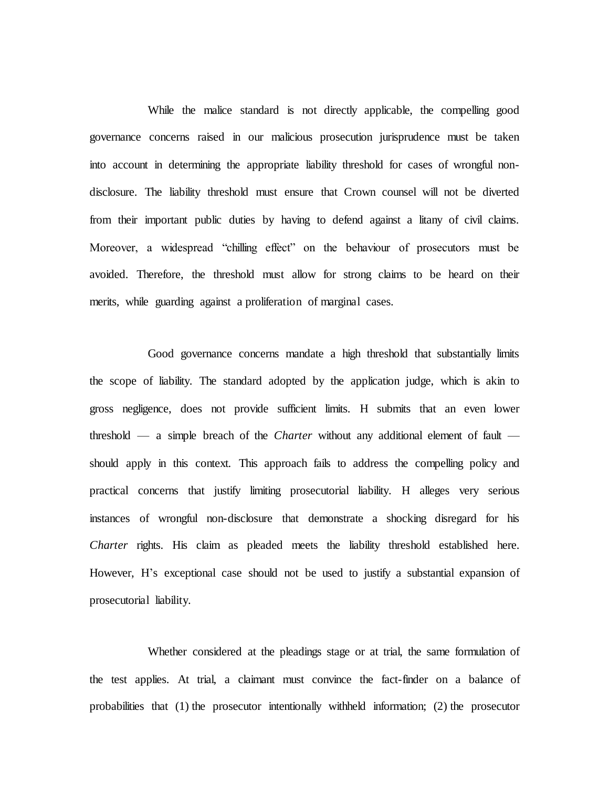While the malice standard is not directly applicable, the compelling good governance concerns raised in our malicious prosecution jurisprudence must be taken into account in determining the appropriate liability threshold for cases of wrongful nondisclosure. The liability threshold must ensure that Crown counsel will not be diverted from their important public duties by having to defend against a litany of civil claims. Moreover, a widespread "chilling effect" on the behaviour of prosecutors must be avoided. Therefore, the threshold must allow for strong claims to be heard on their merits, while guarding against a proliferation of marginal cases.

Good governance concerns mandate a high threshold that substantially limits the scope of liability. The standard adopted by the application judge, which is akin to gross negligence, does not provide sufficient limits. H submits that an even lower threshold — a simple breach of the *Charter* without any additional element of fault should apply in this context. This approach fails to address the compelling policy and practical concerns that justify limiting prosecutorial liability. H alleges very serious instances of wrongful non-disclosure that demonstrate a shocking disregard for his *Charter* rights. His claim as pleaded meets the liability threshold established here. However, H's exceptional case should not be used to justify a substantial expansion of prosecutorial liability.

Whether considered at the pleadings stage or at trial, the same formulation of the test applies. At trial, a claimant must convince the fact-finder on a balance of probabilities that (1) the prosecutor intentionally withheld information; (2) the prosecutor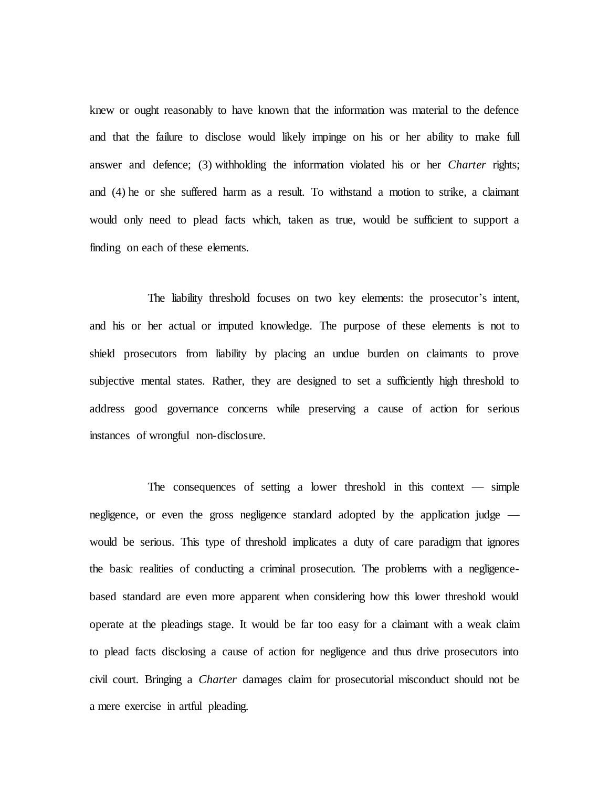knew or ought reasonably to have known that the information was material to the defence and that the failure to disclose would likely impinge on his or her ability to make full answer and defence; (3) withholding the information violated his or her *Charter* rights; and (4) he or she suffered harm as a result. To withstand a motion to strike, a claimant would only need to plead facts which, taken as true, would be sufficient to support a finding on each of these elements.

The liability threshold focuses on two key elements: the prosecutor's intent, and his or her actual or imputed knowledge. The purpose of these elements is not to shield prosecutors from liability by placing an undue burden on claimants to prove subjective mental states. Rather, they are designed to set a sufficiently high threshold to address good governance concerns while preserving a cause of action for serious instances of wrongful non-disclosure.

The consequences of setting a lower threshold in this context  $-$  simple negligence, or even the gross negligence standard adopted by the application judge would be serious. This type of threshold implicates a duty of care paradigm that ignores the basic realities of conducting a criminal prosecution. The problems with a negligencebased standard are even more apparent when considering how this lower threshold would operate at the pleadings stage. It would be far too easy for a claimant with a weak claim to plead facts disclosing a cause of action for negligence and thus drive prosecutors into civil court. Bringing a *Charter* damages claim for prosecutorial misconduct should not be a mere exercise in artful pleading.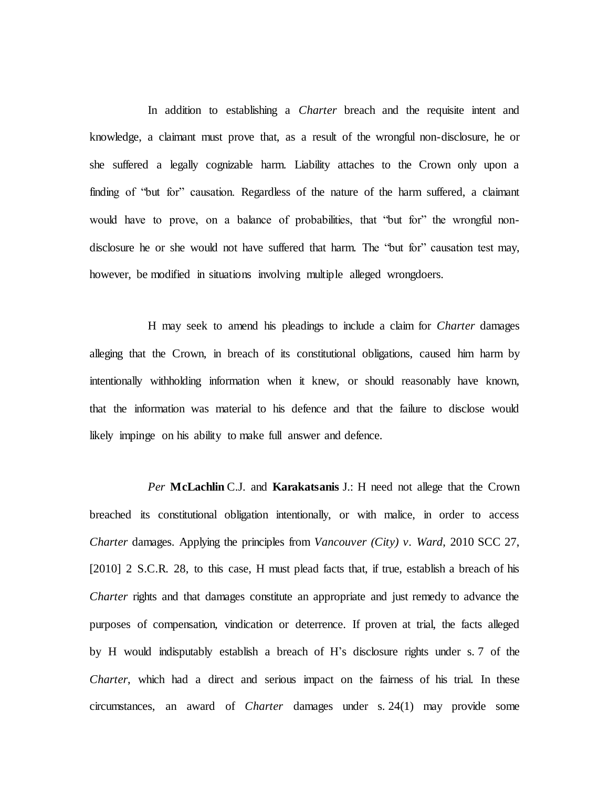In addition to establishing a *Charter* breach and the requisite intent and knowledge, a claimant must prove that, as a result of the wrongful non-disclosure, he or she suffered a legally cognizable harm. Liability attaches to the Crown only upon a finding of "but for" causation. Regardless of the nature of the harm suffered, a claimant would have to prove, on a balance of probabilities, that "but for" the wrongful nondisclosure he or she would not have suffered that harm. The "but for" causation test may, however, be modified in situations involving multiple alleged wrongdoers.

H may seek to amend his pleadings to include a claim for *Charter* damages alleging that the Crown, in breach of its constitutional obligations, caused him harm by intentionally withholding information when it knew, or should reasonably have known, that the information was material to his defence and that the failure to disclose would likely impinge on his ability to make full answer and defence.

*Per* **McLachlin** C.J. and **Karakatsanis** J.: H need not allege that the Crown breached its constitutional obligation intentionally, or with malice, in order to access *Charter* damages. Applying the principles from *Vancouver (City) v. Ward*, 2010 SCC 27, [2010] 2 S.C.R. 28, to this case, H must plead facts that, if true, establish a breach of his *Charter* rights and that damages constitute an appropriate and just remedy to advance the purposes of compensation, vindication or deterrence. If proven at trial, the facts alleged by H would indisputably establish a breach of H's disclosure rights under s. 7 of the *Charter*, which had a direct and serious impact on the fairness of his trial. In these circumstances, an award of *Charter* damages under s. 24(1) may provide some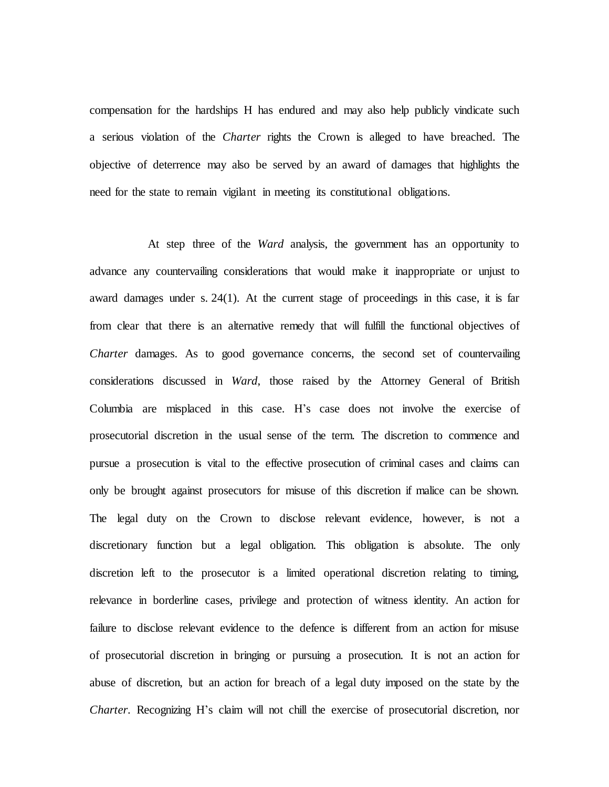compensation for the hardships H has endured and may also help publicly vindicate such a serious violation of the *Charter* rights the Crown is alleged to have breached. The objective of deterrence may also be served by an award of damages that highlights the need for the state to remain vigilant in meeting its constitutional obligations.

At step three of the *Ward* analysis, the government has an opportunity to advance any countervailing considerations that would make it inappropriate or unjust to award damages under s. 24(1). At the current stage of proceedings in this case, it is far from clear that there is an alternative remedy that will fulfill the functional objectives of *Charter* damages. As to good governance concerns, the second set of countervailing considerations discussed in *Ward*, those raised by the Attorney General of British Columbia are misplaced in this case. H's case does not involve the exercise of prosecutorial discretion in the usual sense of the term. The discretion to commence and pursue a prosecution is vital to the effective prosecution of criminal cases and claims can only be brought against prosecutors for misuse of this discretion if malice can be shown. The legal duty on the Crown to disclose relevant evidence, however, is not a discretionary function but a legal obligation. This obligation is absolute. The only discretion left to the prosecutor is a limited operational discretion relating to timing, relevance in borderline cases, privilege and protection of witness identity. An action for failure to disclose relevant evidence to the defence is different from an action for misuse of prosecutorial discretion in bringing or pursuing a prosecution. It is not an action for abuse of discretion, but an action for breach of a legal duty imposed on the state by the *Charter*. Recognizing H's claim will not chill the exercise of prosecutorial discretion, nor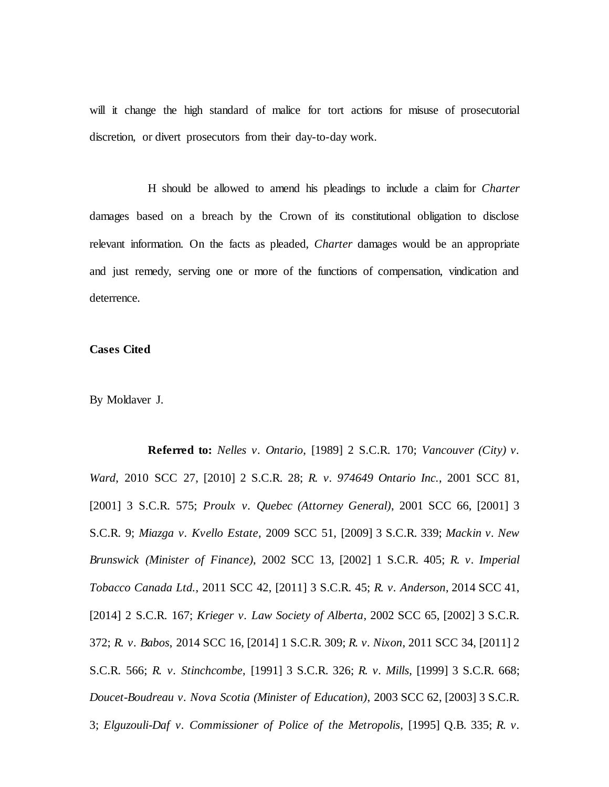will it change the high standard of malice for tort actions for misuse of prosecutorial discretion, or divert prosecutors from their day-to-day work.

H should be allowed to amend his pleadings to include a claim for *Charter*  damages based on a breach by the Crown of its constitutional obligation to disclose relevant information. On the facts as pleaded, *Charter* damages would be an appropriate and just remedy, serving one or more of the functions of compensation, vindication and deterrence.

### **Cases Cited**

By Moldaver J.

**Referred to:** *Nelles v. Ontario*, [1989] 2 S.C.R. 170; *Vancouver (City) v. Ward*, 2010 SCC 27, [2010] 2 S.C.R. 28; *R. v. 974649 Ontario Inc.*, 2001 SCC 81, [2001] 3 S.C.R. 575; *Proulx v. Quebec (Attorney General)*, 2001 SCC 66, [2001] 3 S.C.R. 9; *Miazga v. Kvello Estate*, 2009 SCC 51, [2009] 3 S.C.R. 339; *Mackin v. New Brunswick (Minister of Finance)*, 2002 SCC 13, [2002] 1 S.C.R. 405; *R. v. Imperial Tobacco Canada Ltd.*, 2011 SCC 42, [2011] 3 S.C.R. 45; *R. v. Anderson*, 2014 SCC 41, [2014] 2 S.C.R. 167; *Krieger v. Law Society of Alberta*, 2002 SCC 65, [2002] 3 S.C.R. 372; *R. v. Babos*, 2014 SCC 16, [2014] 1 S.C.R. 309; *R. v. Nixon*, 2011 SCC 34, [2011] 2 S.C.R. 566; *R. v. Stinchcombe*, [1991] 3 S.C.R. 326; *R. v. Mills*, [1999] 3 S.C.R. 668; *Doucet-Boudreau v. Nova Scotia (Minister of Education)*, 2003 SCC 62, [2003] 3 S.C.R. 3; *Elguzouli-Daf v. Commissioner of Police of the Metropolis*, [1995] Q.B. 335; *R. v.*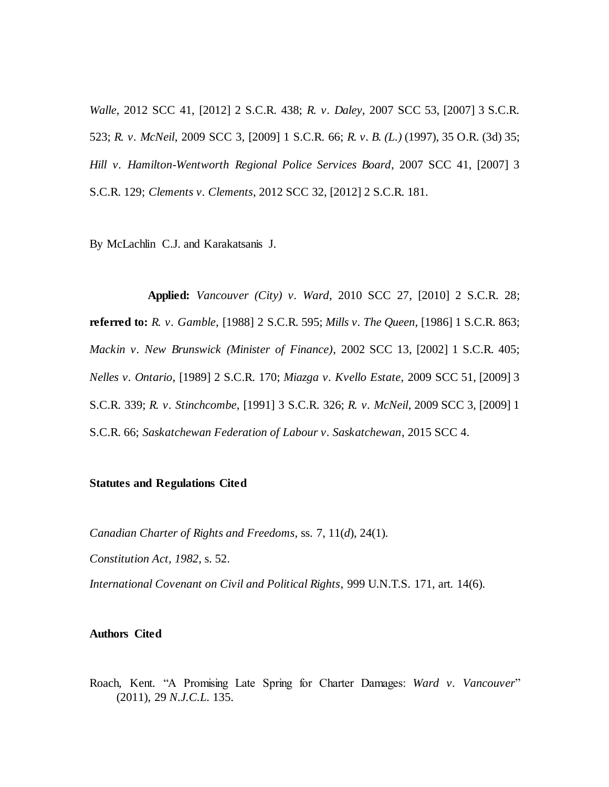*Walle*, 2012 SCC 41, [2012] 2 S.C.R. 438; *R. v. Daley*, 2007 SCC 53, [2007] 3 S.C.R. 523; *R. v. McNeil*, 2009 SCC 3, [2009] 1 S.C.R. 66; *R. v. B. (L.)* (1997), 35 O.R. (3d) 35; *Hill v. Hamilton-Wentworth Regional Police Services Board*, 2007 SCC 41, [2007] 3 S.C.R. 129; *Clements v. Clements*, 2012 SCC 32, [2012] 2 S.C.R. 181.

By McLachlin C.J. and Karakatsanis J.

**Applied:** *Vancouver (City) v. Ward*, 2010 SCC 27, [2010] 2 S.C.R. 28; **referred to:** *R. v. Gamble*, [1988] 2 S.C.R. 595; *Mills v. The Queen*, [1986] 1 S.C.R. 863; *Mackin v. New Brunswick (Minister of Finance)*, 2002 SCC 13, [2002] 1 S.C.R. 405; *Nelles v. Ontario*, [1989] 2 S.C.R. 170; *Miazga v. Kvello Estate*, 2009 SCC 51, [2009] 3 S.C.R. 339; *R. v. Stinchcombe*, [1991] 3 S.C.R. 326; *R. v. McNeil*, 2009 SCC 3, [2009] 1 S.C.R. 66; *Saskatchewan Federation of Labour v. Saskatchewan*, 2015 SCC 4.

### **Statutes and Regulations Cited**

*Canadian Charter of Rights and Freedoms*, ss. 7, 11(*d*), 24(1).

*Constitution Act, 1982*, s. 52.

*International Covenant on Civil and Political Rights*, 999 U.N.T.S. 171, art. 14(6).

#### **Authors Cited**

Roach, Kent. "A Promising Late Spring for Charter Damages: *Ward v. Vancouver*" (2011), 29 *N.J.C.L.* 135.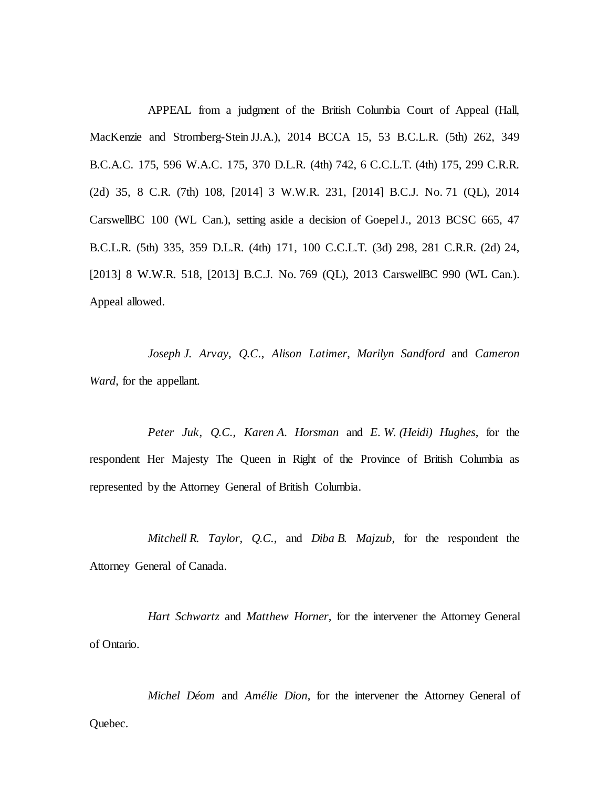APPEAL from a judgment of the British Columbia Court of Appeal (Hall, MacKenzie and Stromberg-Stein JJ.A.), 2014 BCCA 15, 53 B.C.L.R. (5th) 262, 349 B.C.A.C. 175, 596 W.A.C. 175, 370 D.L.R. (4th) 742, 6 C.C.L.T. (4th) 175, 299 C.R.R. (2d) 35, 8 C.R. (7th) 108, [2014] 3 W.W.R. 231, [2014] B.C.J. No. 71 (QL), 2014 CarswellBC 100 (WL Can.), setting aside a decision of GoepelJ., 2013 BCSC 665, 47 B.C.L.R. (5th) 335, 359 D.L.R. (4th) 171, 100 C.C.L.T. (3d) 298, 281 C.R.R. (2d) 24, [2013] 8 W.W.R. 518, [2013] B.C.J. No. 769 (QL), 2013 CarswellBC 990 (WL Can.). Appeal allowed.

*Joseph J. Arvay*, *Q.C.*, *Alison Latimer*, *Marilyn Sandford* and *Cameron Ward*, for the appellant.

*Peter Juk*, *Q.C.*, *Karen A. Horsman* and *E. W. (Heidi) Hughes*, for the respondent Her Majesty The Queen in Right of the Province of British Columbia as represented by the Attorney General of British Columbia.

*Mitchell R. Taylor*, *Q.C.*, and *Diba B. Majzub*, for the respondent the Attorney General of Canada.

*Hart Schwartz* and *Matthew Horner*, for the intervener the Attorney General of Ontario.

*Michel Déom* and *Amélie Dion*, for the intervener the Attorney General of Quebec.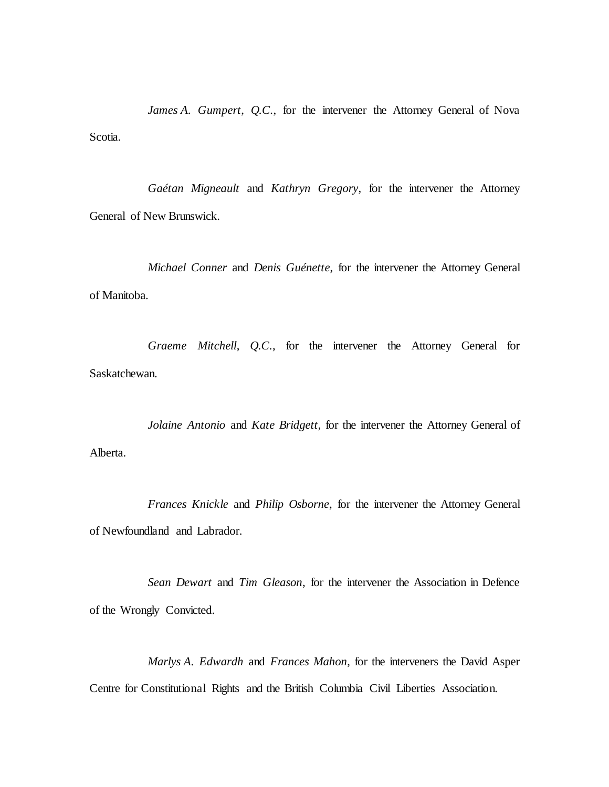*James A. Gumpert*, *Q.C.*, for the intervener the Attorney General of Nova Scotia.

*Gaétan Migneault* and *Kathryn Gregory*, for the intervener the Attorney General of New Brunswick.

*Michael Conner* and *Denis Guénette*, for the intervener the Attorney General of Manitoba.

*Graeme Mitchell*, *Q.C.*, for the intervener the Attorney General for Saskatchewan.

*Jolaine Antonio* and *Kate Bridgett*, for the intervener the Attorney General of Alberta.

*Frances Knickle* and *Philip Osborne*, for the intervener the Attorney General of Newfoundland and Labrador.

*Sean Dewart* and *Tim Gleason*, for the intervener the Association in Defence of the Wrongly Convicted.

*Marlys A. Edwardh* and *Frances Mahon*, for the interveners the David Asper Centre for Constitutional Rights and the British Columbia Civil Liberties Association.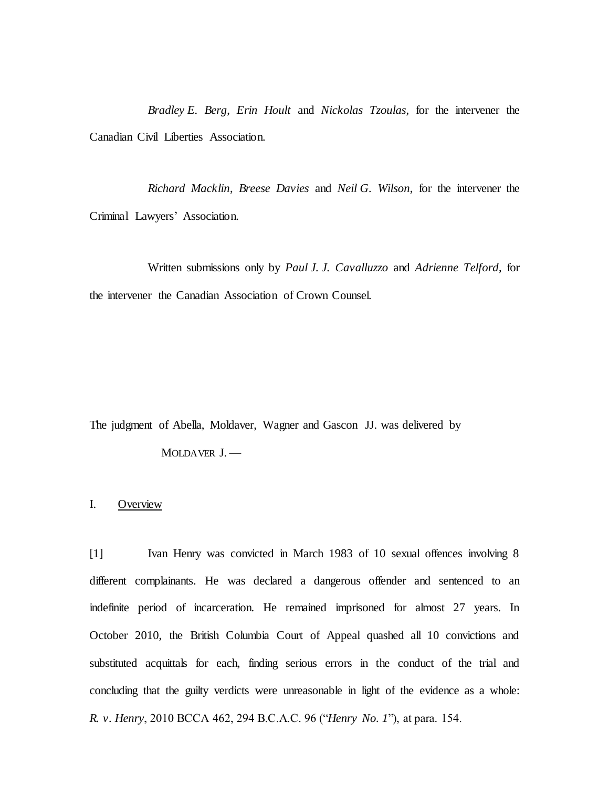*Bradley E. Berg*, *Erin Hoult* and *Nickolas Tzoulas*, for the intervener the Canadian Civil Liberties Association.

*Richard Macklin*, *Breese Davies* and *Neil G. Wilson*, for the intervener the Criminal Lawyers' Association.

Written submissions only by *Paul J. J. Cavalluzzo* and *Adrienne Telford*, for the intervener the Canadian Association of Crown Counsel.

The judgment of Abella, Moldaver, Wagner and Gascon JJ. was delivered by

MOLDAVER J.-

#### I. Overview

[1] Ivan Henry was convicted in March 1983 of 10 sexual offences involving 8 different complainants. He was declared a dangerous offender and sentenced to an indefinite period of incarceration. He remained imprisoned for almost 27 years. In October 2010, the British Columbia Court of Appeal quashed all 10 convictions and substituted acquittals for each, finding serious errors in the conduct of the trial and concluding that the guilty verdicts were unreasonable in light of the evidence as a whole: *R. v. Henry*, 2010 BCCA 462, 294 B.C.A.C. 96 ("*Henry No. 1*"), at para. 154.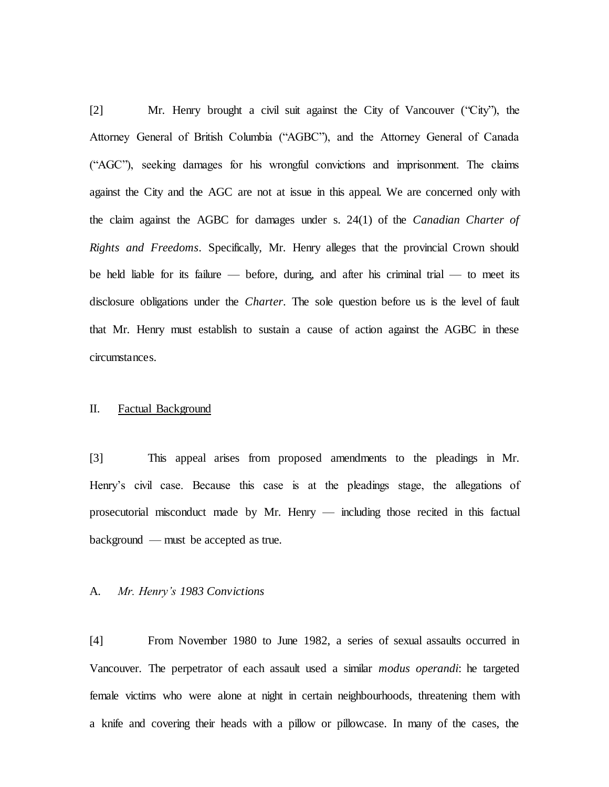[2] Mr. Henry brought a civil suit against the City of Vancouver ("City"), the Attorney General of British Columbia ("AGBC"), and the Attorney General of Canada ("AGC"), seeking damages for his wrongful convictions and imprisonment. The claims against the City and the AGC are not at issue in this appeal. We are concerned only with the claim against the AGBC for damages under s. 24(1) of the *Canadian Charter of Rights and Freedoms*. Specifically, Mr. Henry alleges that the provincial Crown should be held liable for its failure — before, during, and after his criminal trial — to meet its disclosure obligations under the *Charter*. The sole question before us is the level of fault that Mr. Henry must establish to sustain a cause of action against the AGBC in these circumstances.

#### II. Factual Background

[3] This appeal arises from proposed amendments to the pleadings in Mr. Henry's civil case. Because this case is at the pleadings stage, the allegations of prosecutorial misconduct made by Mr. Henry — including those recited in this factual background — must be accepted as true.

#### A. *Mr. Henry's 1983 Convictions*

[4] From November 1980 to June 1982, a series of sexual assaults occurred in Vancouver. The perpetrator of each assault used a similar *modus operandi*: he targeted female victims who were alone at night in certain neighbourhoods, threatening them with a knife and covering their heads with a pillow or pillowcase. In many of the cases, the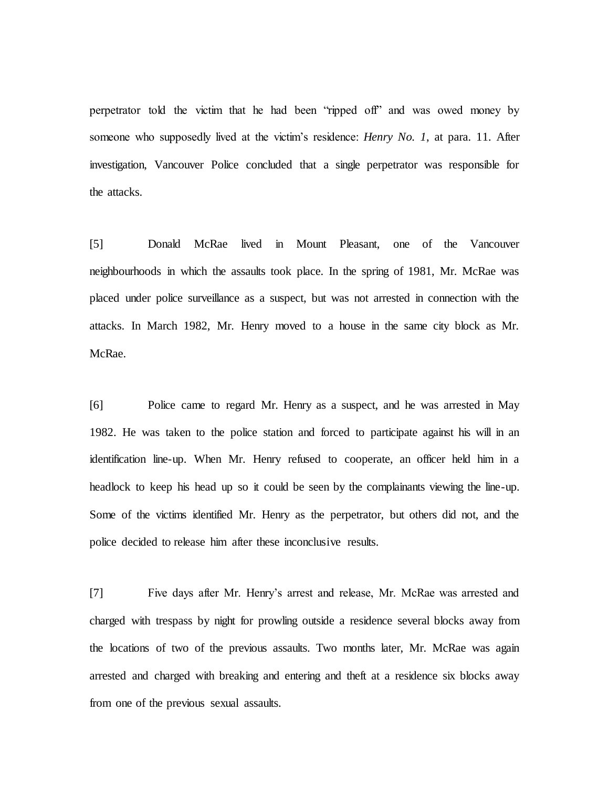perpetrator told the victim that he had been "ripped off" and was owed money by someone who supposedly lived at the victim's residence: *Henry No. 1*, at para. 11. After investigation, Vancouver Police concluded that a single perpetrator was responsible for the attacks.

[5] Donald McRae lived in Mount Pleasant, one of the Vancouver neighbourhoods in which the assaults took place. In the spring of 1981, Mr. McRae was placed under police surveillance as a suspect, but was not arrested in connection with the attacks. In March 1982, Mr. Henry moved to a house in the same city block as Mr. McRae.

[6] Police came to regard Mr. Henry as a suspect, and he was arrested in May 1982. He was taken to the police station and forced to participate against his will in an identification line-up. When Mr. Henry refused to cooperate, an officer held him in a headlock to keep his head up so it could be seen by the complainants viewing the line-up. Some of the victims identified Mr. Henry as the perpetrator, but others did not, and the police decided to release him after these inconclusive results.

[7] Five days after Mr. Henry's arrest and release, Mr. McRae was arrested and charged with trespass by night for prowling outside a residence several blocks away from the locations of two of the previous assaults. Two months later, Mr. McRae was again arrested and charged with breaking and entering and theft at a residence six blocks away from one of the previous sexual assaults.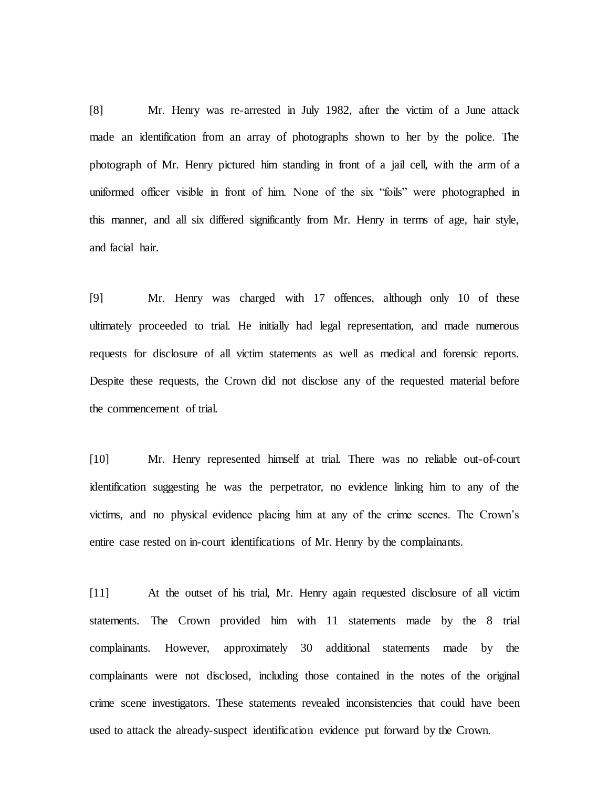[8] Mr. Henry was re-arrested in July 1982, after the victim of a June attack made an identification from an array of photographs shown to her by the police. The photograph of Mr. Henry pictured him standing in front of a jail cell, with the arm of a uniformed officer visible in front of him. None of the six "foils" were photographed in this manner, and all six differed significantly from Mr. Henry in terms of age, hair style, and facial hair.

[9] Mr. Henry was charged with 17 offences, although only 10 of these ultimately proceeded to trial. He initially had legal representation, and made numerous requests for disclosure of all victim statements as well as medical and forensic reports. Despite these requests, the Crown did not disclose any of the requested material before the commencement of trial.

[10] Mr. Henry represented himself at trial. There was no reliable out-of-court identification suggesting he was the perpetrator, no evidence linking him to any of the victims, and no physical evidence placing him at any of the crime scenes. The Crown's entire case rested on in-court identifications of Mr. Henry by the complainants.

[11] At the outset of his trial, Mr. Henry again requested disclosure of all victim statements. The Crown provided him with 11 statements made by the 8 trial complainants. However, approximately 30 additional statements made by the complainants were not disclosed, including those contained in the notes of the original crime scene investigators. These statements revealed inconsistencies that could have been used to attack the already-suspect identification evidence put forward by the Crown.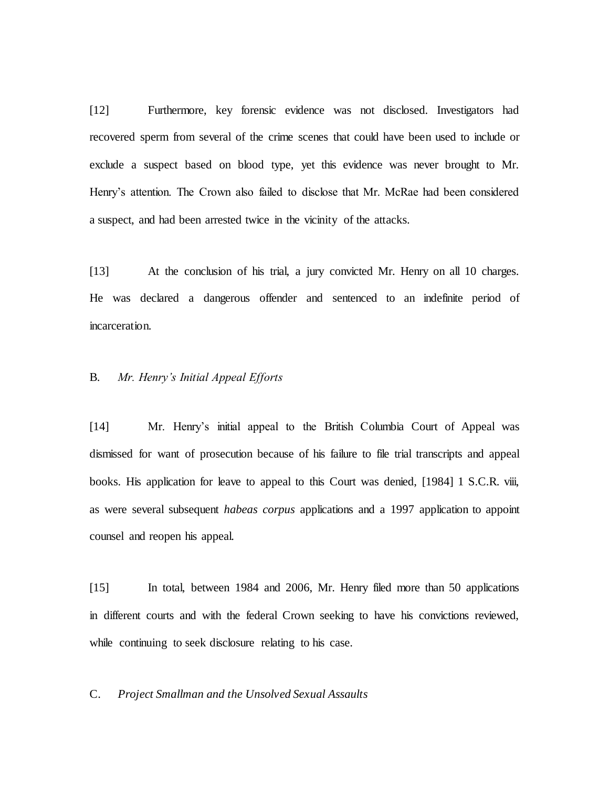[12] Furthermore, key forensic evidence was not disclosed. Investigators had recovered sperm from several of the crime scenes that could have been used to include or exclude a suspect based on blood type, yet this evidence was never brought to Mr. Henry's attention. The Crown also failed to disclose that Mr. McRae had been considered a suspect, and had been arrested twice in the vicinity of the attacks.

[13] At the conclusion of his trial, a jury convicted Mr. Henry on all 10 charges. He was declared a dangerous offender and sentenced to an indefinite period of incarceration.

### B. *Mr. Henry's Initial Appeal Efforts*

[14] Mr. Henry's initial appeal to the British Columbia Court of Appeal was dismissed for want of prosecution because of his failure to file trial transcripts and appeal books. His application for leave to appeal to this Court was denied, [1984] 1 S.C.R. viii, as were several subsequent *habeas corpus* applications and a 1997 application to appoint counsel and reopen his appeal.

[15] In total, between 1984 and 2006, Mr. Henry filed more than 50 applications in different courts and with the federal Crown seeking to have his convictions reviewed, while continuing to seek disclosure relating to his case.

C. *Project Smallman and the Unsolved Sexual Assaults*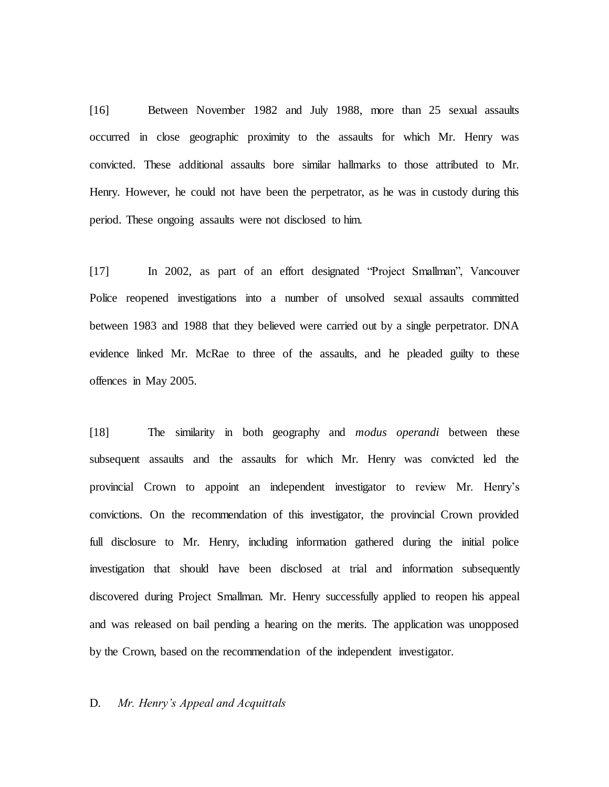[16] Between November 1982 and July 1988, more than 25 sexual assaults occurred in close geographic proximity to the assaults for which Mr. Henry was convicted. These additional assaults bore similar hallmarks to those attributed to Mr. Henry. However, he could not have been the perpetrator, as he was in custody during this period. These ongoing assaults were not disclosed to him.

[17] In 2002, as part of an effort designated "Project Smallman", Vancouver Police reopened investigations into a number of unsolved sexual assaults committed between 1983 and 1988 that they believed were carried out by a single perpetrator. DNA evidence linked Mr. McRae to three of the assaults, and he pleaded guilty to these offences in May 2005.

[18] The similarity in both geography and *modus operandi* between these subsequent assaults and the assaults for which Mr. Henry was convicted led the provincial Crown to appoint an independent investigator to review Mr. Henry's convictions. On the recommendation of this investigator, the provincial Crown provided full disclosure to Mr. Henry, including information gathered during the initial police investigation that should have been disclosed at trial and information subsequently discovered during Project Smallman. Mr. Henry successfully applied to reopen his appeal and was released on bail pending a hearing on the merits. The application was unopposed by the Crown, based on the recommendation of the independent investigator.

#### D. *Mr. Henry's Appeal and Acquittals*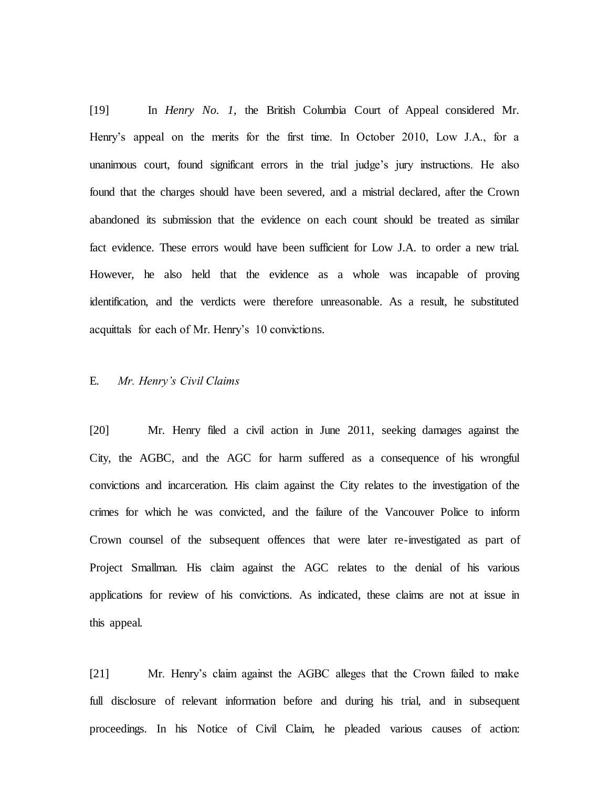[19] In *Henry No. 1*, the British Columbia Court of Appeal considered Mr. Henry's appeal on the merits for the first time. In October 2010, Low J.A., for a unanimous court, found significant errors in the trial judge's jury instructions. He also found that the charges should have been severed, and a mistrial declared, after the Crown abandoned its submission that the evidence on each count should be treated as similar fact evidence. These errors would have been sufficient for Low J.A. to order a new trial. However, he also held that the evidence as a whole was incapable of proving identification, and the verdicts were therefore unreasonable. As a result, he substituted acquittals for each of Mr. Henry's 10 convictions.

#### E. *Mr. Henry's Civil Claims*

[20] Mr. Henry filed a civil action in June 2011, seeking damages against the City, the AGBC, and the AGC for harm suffered as a consequence of his wrongful convictions and incarceration. His claim against the City relates to the investigation of the crimes for which he was convicted, and the failure of the Vancouver Police to inform Crown counsel of the subsequent offences that were later re-investigated as part of Project Smallman. His claim against the AGC relates to the denial of his various applications for review of his convictions. As indicated, these claims are not at issue in this appeal.

[21] Mr. Henry's claim against the AGBC alleges that the Crown failed to make full disclosure of relevant information before and during his trial, and in subsequent proceedings. In his Notice of Civil Claim, he pleaded various causes of action: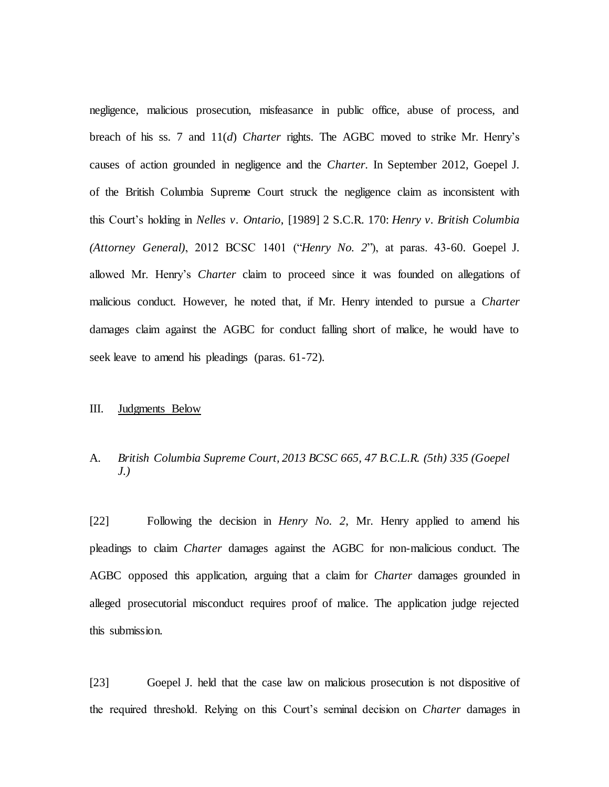negligence, malicious prosecution, misfeasance in public office, abuse of process, and breach of his ss. 7 and 11(*d*) *Charter* rights. The AGBC moved to strike Mr. Henry's causes of action grounded in negligence and the *Charter*. In September 2012, Goepel J. of the British Columbia Supreme Court struck the negligence claim as inconsistent with this Court's holding in *Nelles v. Ontario*, [1989] 2 S.C.R. 170: *Henry v. British Columbia (Attorney General)*, 2012 BCSC 1401 ("*Henry No. 2*"), at paras. 43-60. Goepel J. allowed Mr. Henry's *Charter* claim to proceed since it was founded on allegations of malicious conduct. However, he noted that, if Mr. Henry intended to pursue a *Charter* damages claim against the AGBC for conduct falling short of malice, he would have to seek leave to amend his pleadings (paras. 61-72).

#### III. Judgments Below

### A. *British Columbia Supreme Court, 2013 BCSC 665, 47 B.C.L.R. (5th) 335 (Goepel J.)*

[22] Following the decision in *Henry No. 2*, Mr. Henry applied to amend his pleadings to claim *Charter* damages against the AGBC for non-malicious conduct. The AGBC opposed this application, arguing that a claim for *Charter* damages grounded in alleged prosecutorial misconduct requires proof of malice. The application judge rejected this submission.

[23] Goepel J. held that the case law on malicious prosecution is not dispositive of the required threshold. Relying on this Court's seminal decision on *Charter* damages in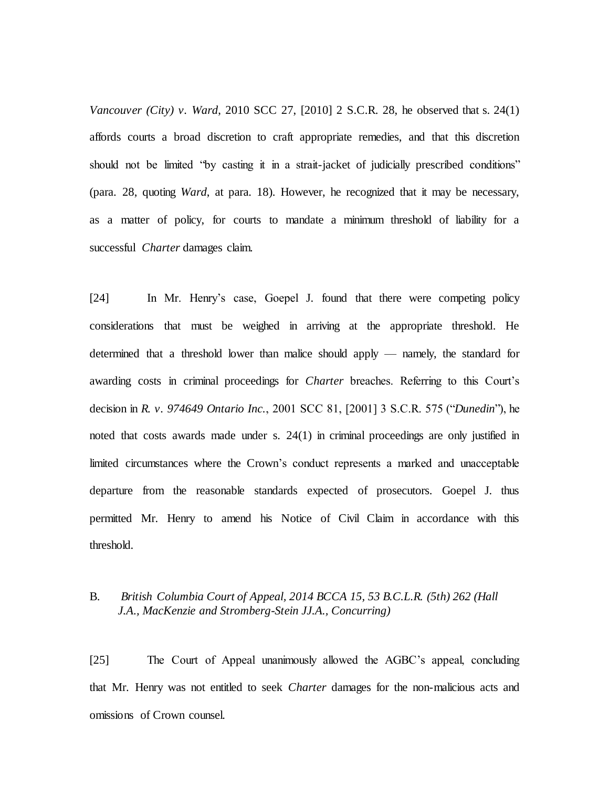*Vancouver (City) v. Ward*, 2010 SCC 27, [2010] 2 S.C.R. 28, he observed that s. 24(1) affords courts a broad discretion to craft appropriate remedies, and that this discretion should not be limited "by casting it in a strait-jacket of judicially prescribed conditions" (para. 28, quoting *Ward*, at para. 18). However, he recognized that it may be necessary, as a matter of policy, for courts to mandate a minimum threshold of liability for a successful *Charter* damages claim.

[24] In Mr. Henry's case, Goepel J. found that there were competing policy considerations that must be weighed in arriving at the appropriate threshold. He determined that a threshold lower than malice should apply — namely, the standard for awarding costs in criminal proceedings for *Charter* breaches. Referring to this Court's decision in *R. v. 974649 Ontario Inc.*, 2001 SCC 81, [2001] 3 S.C.R. 575 ("*Dunedin*"), he noted that costs awards made under s. 24(1) in criminal proceedings are only justified in limited circumstances where the Crown's conduct represents a marked and unacceptable departure from the reasonable standards expected of prosecutors. Goepel J. thus permitted Mr. Henry to amend his Notice of Civil Claim in accordance with this threshold.

## B. *British Columbia Court of Appeal, 2014 BCCA 15, 53 B.C.L.R. (5th) 262 (Hall J.A., MacKenzie and Stromberg-Stein JJ.A., Concurring)*

[25] The Court of Appeal unanimously allowed the AGBC's appeal, concluding that Mr. Henry was not entitled to seek *Charter* damages for the non-malicious acts and omissions of Crown counsel.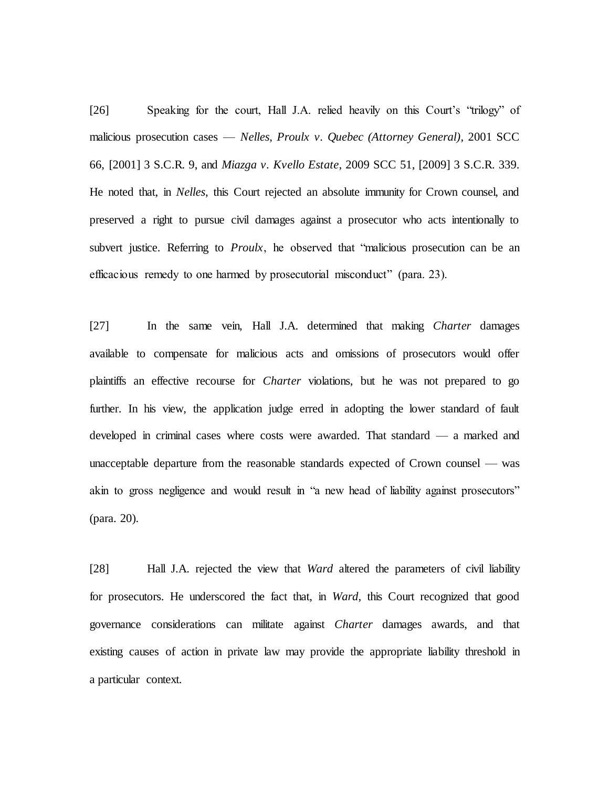[26] Speaking for the court, Hall J.A. relied heavily on this Court's "trilogy" of malicious prosecution cases — *Nelles*, *Proulx v. Quebec (Attorney General)*, 2001 SCC 66, [2001] 3 S.C.R. 9, and *Miazga v. Kvello Estate*, 2009 SCC 51, [2009] 3 S.C.R. 339. He noted that, in *Nelles*, this Court rejected an absolute immunity for Crown counsel, and preserved a right to pursue civil damages against a prosecutor who acts intentionally to subvert justice. Referring to *Proulx*, he observed that "malicious prosecution can be an efficacious remedy to one harmed by prosecutorial misconduct" (para. 23).

[27] In the same vein, Hall J.A. determined that making *Charter* damages available to compensate for malicious acts and omissions of prosecutors would offer plaintiffs an effective recourse for *Charter* violations, but he was not prepared to go further. In his view, the application judge erred in adopting the lower standard of fault developed in criminal cases where costs were awarded. That standard — a marked and unacceptable departure from the reasonable standards expected of Crown counsel — was akin to gross negligence and would result in "a new head of liability against prosecutors" (para. 20).

[28] Hall J.A. rejected the view that *Ward* altered the parameters of civil liability for prosecutors. He underscored the fact that, in *Ward*, this Court recognized that good governance considerations can militate against *Charter* damages awards, and that existing causes of action in private law may provide the appropriate liability threshold in a particular context.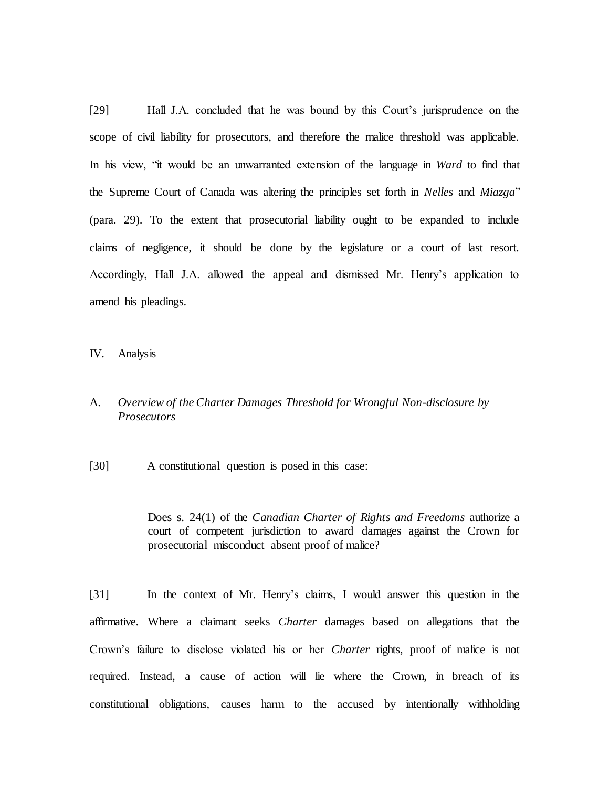[29] Hall J.A. concluded that he was bound by this Court's jurisprudence on the scope of civil liability for prosecutors, and therefore the malice threshold was applicable. In his view, "it would be an unwarranted extension of the language in *Ward* to find that the Supreme Court of Canada was altering the principles set forth in *Nelles* and *Miazga*" (para. 29). To the extent that prosecutorial liability ought to be expanded to include claims of negligence, it should be done by the legislature or a court of last resort. Accordingly, Hall J.A. allowed the appeal and dismissed Mr. Henry's application to amend his pleadings.

IV. Analysis

## A. *Overview of the Charter Damages Threshold for Wrongful Non-disclosure by Prosecutors*

[30] A constitutional question is posed in this case:

Does s. 24(1) of the *Canadian Charter of Rights and Freedoms* authorize a court of competent jurisdiction to award damages against the Crown for prosecutorial misconduct absent proof of malice?

[31] In the context of Mr. Henry's claims, I would answer this question in the affirmative. Where a claimant seeks *Charter* damages based on allegations that the Crown's failure to disclose violated his or her *Charter* rights, proof of malice is not required. Instead, a cause of action will lie where the Crown, in breach of its constitutional obligations, causes harm to the accused by intentionally withholding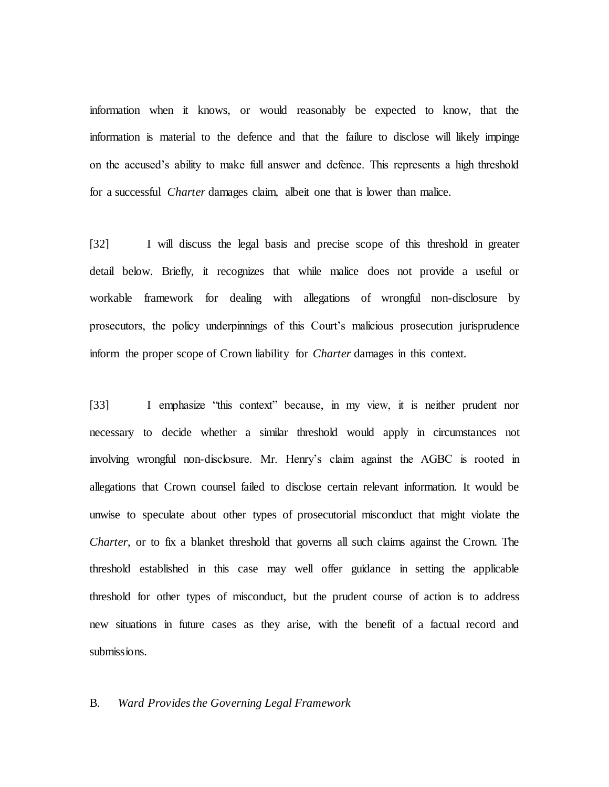information when it knows, or would reasonably be expected to know, that the information is material to the defence and that the failure to disclose will likely impinge on the accused's ability to make full answer and defence. This represents a high threshold for a successful *Charter* damages claim, albeit one that is lower than malice.

[32] I will discuss the legal basis and precise scope of this threshold in greater detail below. Briefly, it recognizes that while malice does not provide a useful or workable framework for dealing with allegations of wrongful non-disclosure by prosecutors, the policy underpinnings of this Court's malicious prosecution jurisprudence inform the proper scope of Crown liability for *Charter* damages in this context.

[33] I emphasize "this context" because, in my view, it is neither prudent nor necessary to decide whether a similar threshold would apply in circumstances not involving wrongful non-disclosure. Mr. Henry's claim against the AGBC is rooted in allegations that Crown counsel failed to disclose certain relevant information. It would be unwise to speculate about other types of prosecutorial misconduct that might violate the *Charter*, or to fix a blanket threshold that governs all such claims against the Crown. The threshold established in this case may well offer guidance in setting the applicable threshold for other types of misconduct, but the prudent course of action is to address new situations in future cases as they arise, with the benefit of a factual record and submissions.

#### B. *Ward Provides the Governing Legal Framework*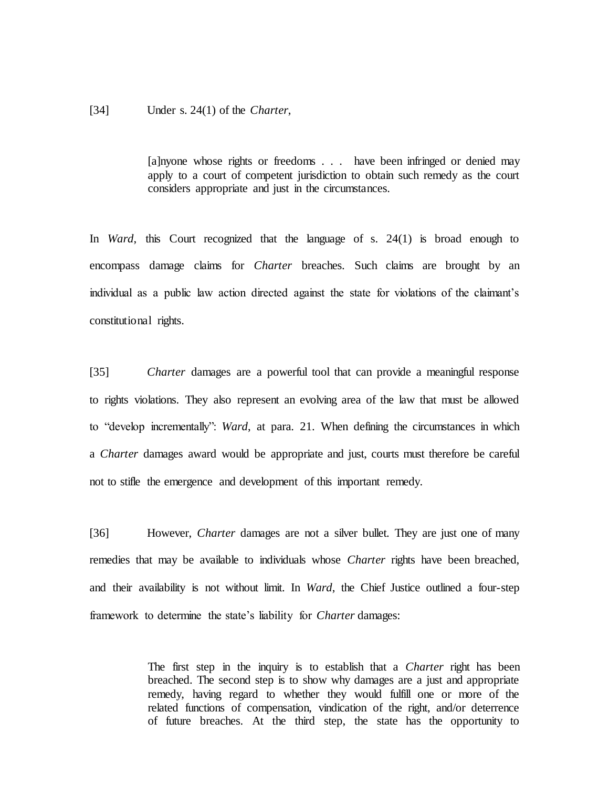#### [34] Under s. 24(1) of the *Charter*,

[a]nyone whose rights or freedoms . . . have been infringed or denied may apply to a court of competent jurisdiction to obtain such remedy as the court considers appropriate and just in the circumstances.

In *Ward*, this Court recognized that the language of s. 24(1) is broad enough to encompass damage claims for *Charter* breaches. Such claims are brought by an individual as a public law action directed against the state for violations of the claimant's constitutional rights.

[35] *Charter* damages are a powerful tool that can provide a meaningful response to rights violations. They also represent an evolving area of the law that must be allowed to "develop incrementally": *Ward*, at para. 21. When defining the circumstances in which a *Charter* damages award would be appropriate and just, courts must therefore be careful not to stifle the emergence and development of this important remedy.

[36] However, *Charter* damages are not a silver bullet. They are just one of many remedies that may be available to individuals whose *Charter* rights have been breached, and their availability is not without limit. In *Ward*, the Chief Justice outlined a four-step framework to determine the state's liability for *Charter* damages:

> The first step in the inquiry is to establish that a *Charter* right has been breached. The second step is to show why damages are a just and appropriate remedy, having regard to whether they would fulfill one or more of the related functions of compensation, vindication of the right, and/or deterrence of future breaches. At the third step, the state has the opportunity to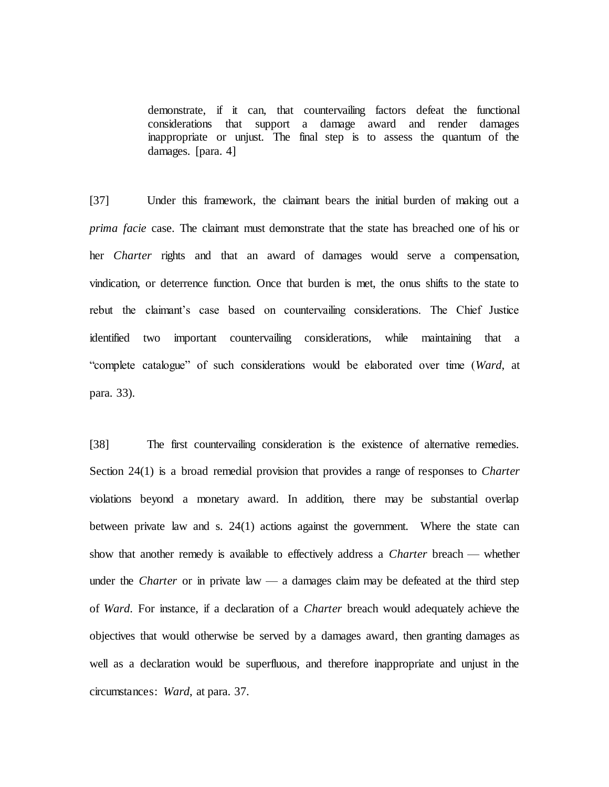demonstrate, if it can, that countervailing factors defeat the functional considerations that support a damage award and render damages inappropriate or unjust. The final step is to assess the quantum of the damages. [para. 4]

[37] Under this framework, the claimant bears the initial burden of making out a *prima facie* case. The claimant must demonstrate that the state has breached one of his or her *Charter* rights and that an award of damages would serve a compensation, vindication, or deterrence function. Once that burden is met, the onus shifts to the state to rebut the claimant's case based on countervailing considerations. The Chief Justice identified two important countervailing considerations, while maintaining that a "complete catalogue" of such considerations would be elaborated over time (*Ward*, at para. 33).

[38] The first countervailing consideration is the existence of alternative remedies. Section 24(1) is a broad remedial provision that provides a range of responses to *Charter*  violations beyond a monetary award. In addition, there may be substantial overlap between private law and s. 24(1) actions against the government. Where the state can show that another remedy is available to effectively address a *Charter* breach — whether under the *Charter* or in private law — a damages claim may be defeated at the third step of *Ward*. For instance, if a declaration of a *Charter* breach would adequately achieve the objectives that would otherwise be served by a damages award, then granting damages as well as a declaration would be superfluous, and therefore inappropriate and unjust in the circumstances: *Ward*, at para. 37.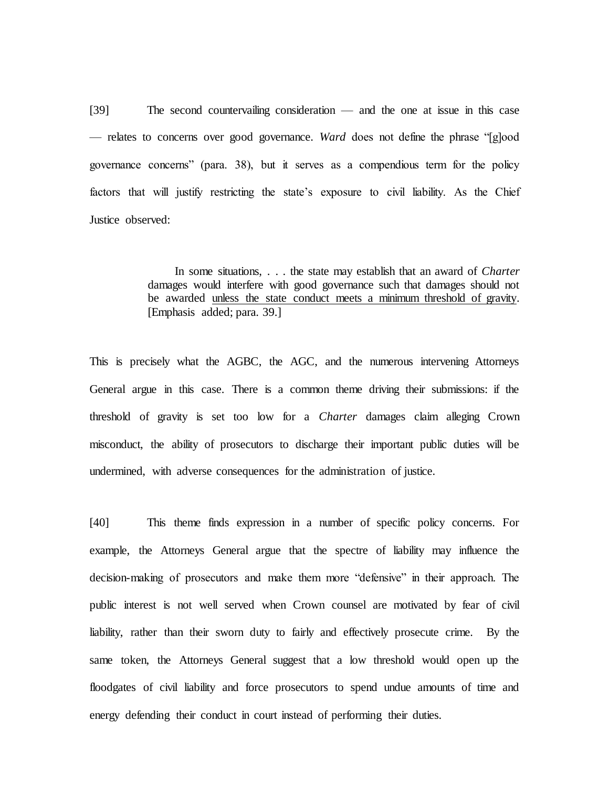[39] The second countervailing consideration — and the one at issue in this case — relates to concerns over good governance. *Ward* does not define the phrase "[g]ood governance concerns" (para. 38), but it serves as a compendious term for the policy factors that will justify restricting the state's exposure to civil liability. As the Chief Justice observed:

> In some situations, . . . the state may establish that an award of *Charter*  damages would interfere with good governance such that damages should not be awarded unless the state conduct meets a minimum threshold of gravity. [Emphasis added; para. 39.]

This is precisely what the AGBC, the AGC, and the numerous intervening Attorneys General argue in this case. There is a common theme driving their submissions: if the threshold of gravity is set too low for a *Charter* damages claim alleging Crown misconduct, the ability of prosecutors to discharge their important public duties will be undermined, with adverse consequences for the administration of justice.

[40] This theme finds expression in a number of specific policy concerns. For example, the Attorneys General argue that the spectre of liability may influence the decision-making of prosecutors and make them more "defensive" in their approach. The public interest is not well served when Crown counsel are motivated by fear of civil liability, rather than their sworn duty to fairly and effectively prosecute crime. By the same token, the Attorneys General suggest that a low threshold would open up the floodgates of civil liability and force prosecutors to spend undue amounts of time and energy defending their conduct in court instead of performing their duties.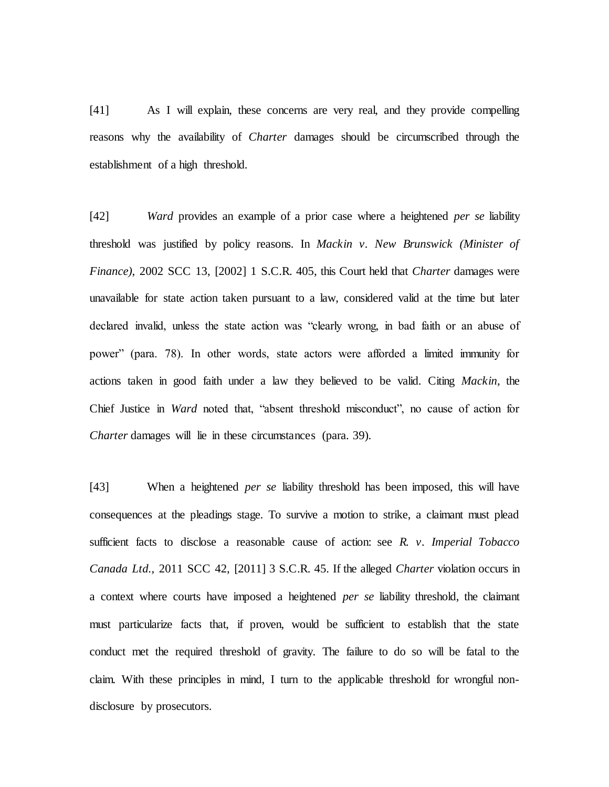[41] As I will explain, these concerns are very real, and they provide compelling reasons why the availability of *Charter* damages should be circumscribed through the establishment of a high threshold.

[42] *Ward* provides an example of a prior case where a heightened *per se* liability threshold was justified by policy reasons. In *Mackin v. New Brunswick (Minister of Finance)*, 2002 SCC 13, [2002] 1 S.C.R. 405, this Court held that *Charter* damages were unavailable for state action taken pursuant to a law, considered valid at the time but later declared invalid, unless the state action was "clearly wrong, in bad faith or an abuse of power" (para. 78). In other words, state actors were afforded a limited immunity for actions taken in good faith under a law they believed to be valid. Citing *Mackin*, the Chief Justice in *Ward* noted that, "absent threshold misconduct", no cause of action for *Charter* damages will lie in these circumstances (para. 39).

[43] When a heightened *per se* liability threshold has been imposed, this will have consequences at the pleadings stage. To survive a motion to strike, a claimant must plead sufficient facts to disclose a reasonable cause of action: see *R. v. Imperial Tobacco Canada Ltd.*, 2011 SCC 42, [2011] 3 S.C.R. 45. If the alleged *Charter* violation occurs in a context where courts have imposed a heightened *per se* liability threshold, the claimant must particularize facts that, if proven, would be sufficient to establish that the state conduct met the required threshold of gravity. The failure to do so will be fatal to the claim. With these principles in mind, I turn to the applicable threshold for wrongful nondisclosure by prosecutors.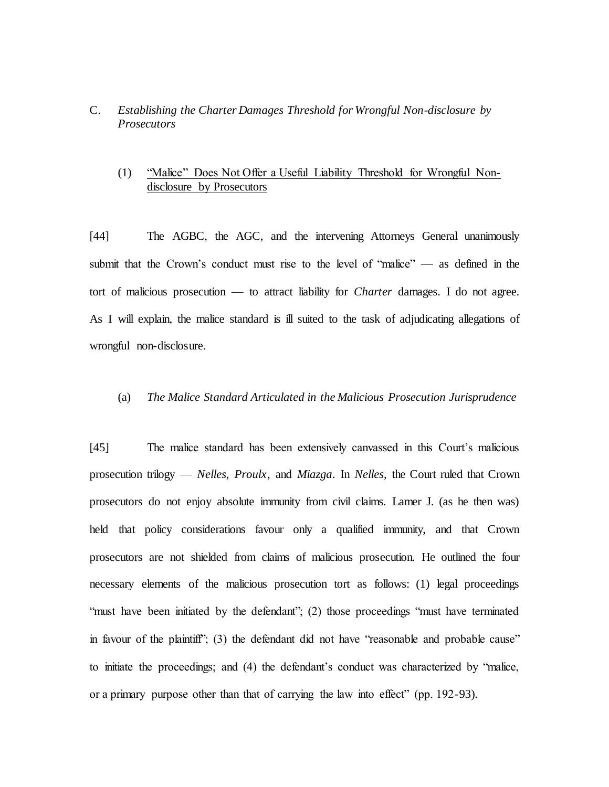### C. *Establishing the Charter Damages Threshold for Wrongful Non-disclosure by Prosecutors*

## (1) "Malice" Does Not Offer a Useful Liability Threshold for Wrongful Nondisclosure by Prosecutors

[44] The AGBC, the AGC, and the intervening Attorneys General unanimously submit that the Crown's conduct must rise to the level of "malice" — as defined in the tort of malicious prosecution — to attract liability for *Charter* damages. I do not agree. As I will explain, the malice standard is ill suited to the task of adjudicating allegations of wrongful non-disclosure.

#### (a) *The Malice Standard Articulated in the Malicious Prosecution Jurisprudence*

[45] The malice standard has been extensively canvassed in this Court's malicious prosecution trilogy — *Nelles*, *Proulx*, and *Miazga*. In *Nelles*, the Court ruled that Crown prosecutors do not enjoy absolute immunity from civil claims. Lamer J. (as he then was) held that policy considerations favour only a qualified immunity, and that Crown prosecutors are not shielded from claims of malicious prosecution. He outlined the four necessary elements of the malicious prosecution tort as follows: (1) legal proceedings "must have been initiated by the defendant"; (2) those proceedings "must have terminated in favour of the plaintiff"; (3) the defendant did not have "reasonable and probable cause" to initiate the proceedings; and (4) the defendant's conduct was characterized by "malice, or a primary purpose other than that of carrying the law into effect" (pp. 192-93).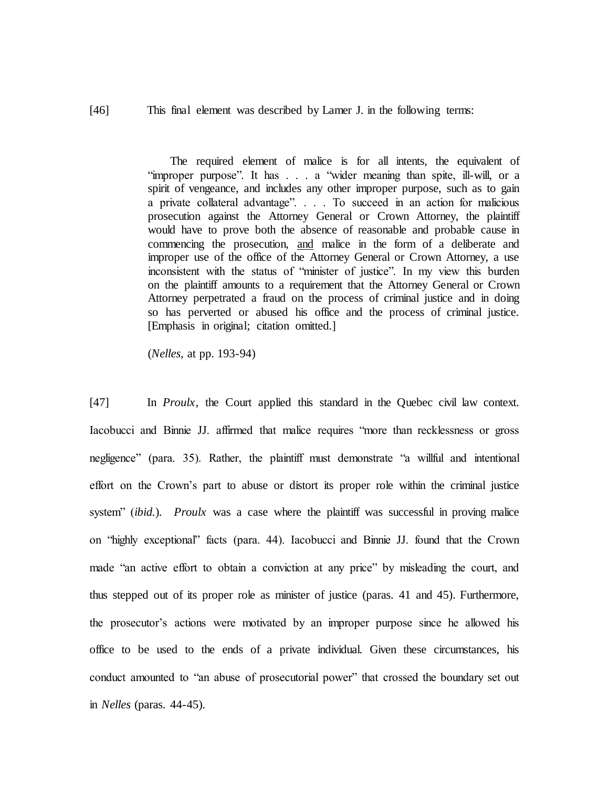[46] This final element was described by Lamer J. in the following terms:

The required element of malice is for all intents, the equivalent of "improper purpose". It has . . . a "wider meaning than spite, ill-will, or a spirit of vengeance, and includes any other improper purpose, such as to gain a private collateral advantage". . . . To succeed in an action for malicious prosecution against the Attorney General or Crown Attorney, the plaintiff would have to prove both the absence of reasonable and probable cause in commencing the prosecution, and malice in the form of a deliberate and improper use of the office of the Attorney General or Crown Attorney, a use inconsistent with the status of "minister of justice". In my view this burden on the plaintiff amounts to a requirement that the Attorney General or Crown Attorney perpetrated a fraud on the process of criminal justice and in doing so has perverted or abused his office and the process of criminal justice. [Emphasis in original; citation omitted.]

(*Nelles*, at pp. 193-94)

[47] In *Proulx*, the Court applied this standard in the Quebec civil law context. Iacobucci and Binnie JJ. affirmed that malice requires "more than recklessness or gross negligence" (para. 35). Rather, the plaintiff must demonstrate "a willful and intentional effort on the Crown's part to abuse or distort its proper role within the criminal justice system" (*ibid.*). *Proulx* was a case where the plaintiff was successful in proving malice on "highly exceptional" facts (para. 44). Iacobucci and Binnie JJ. found that the Crown made "an active effort to obtain a conviction at any price" by misleading the court, and thus stepped out of its proper role as minister of justice (paras. 41 and 45). Furthermore, the prosecutor's actions were motivated by an improper purpose since he allowed his office to be used to the ends of a private individual. Given these circumstances, his conduct amounted to "an abuse of prosecutorial power" that crossed the boundary set out in *Nelles* (paras. 44-45).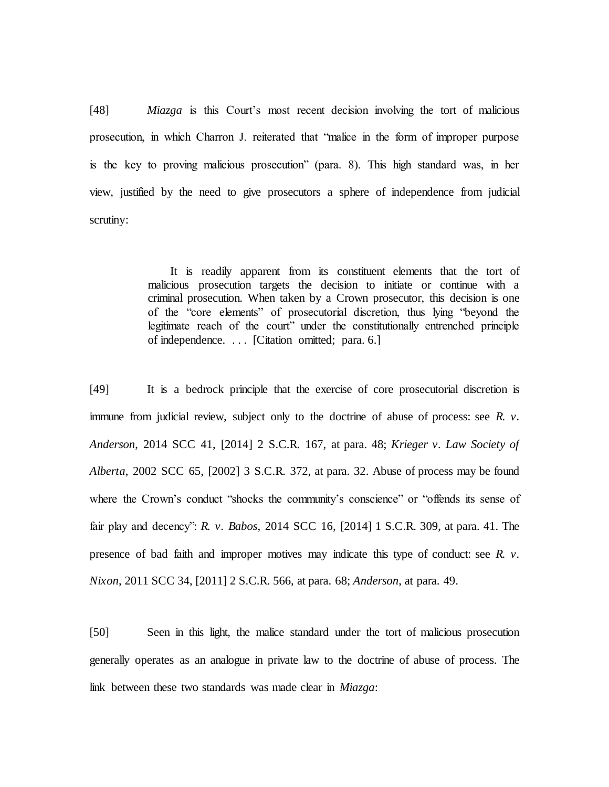[48] *Miazga* is this Court's most recent decision involving the tort of malicious prosecution, in which Charron J. reiterated that "malice in the form of improper purpose is the key to proving malicious prosecution" (para. 8). This high standard was, in her view, justified by the need to give prosecutors a sphere of independence from judicial scrutiny:

> It is readily apparent from its constituent elements that the tort of malicious prosecution targets the decision to initiate or continue with a criminal prosecution. When taken by a Crown prosecutor, this decision is one of the "core elements" of prosecutorial discretion, thus lying "beyond the legitimate reach of the court" under the constitutionally entrenched principle of independence. . . . [Citation omitted; para. 6.]

[49] It is a bedrock principle that the exercise of core prosecutorial discretion is immune from judicial review, subject only to the doctrine of abuse of process: see *R. v. Anderson*, 2014 SCC 41, [2014] 2 S.C.R. 167, at para. 48; *Krieger v. Law Society of Alberta*, 2002 SCC 65, [2002] 3 S.C.R. 372, at para. 32. Abuse of process may be found where the Crown's conduct "shocks the community's conscience" or "offends its sense of fair play and decency": *R. v. Babos*, 2014 SCC 16, [2014] 1 S.C.R. 309, at para. 41. The presence of bad faith and improper motives may indicate this type of conduct: see *R. v. Nixon*, 2011 SCC 34, [2011] 2 S.C.R. 566, at para. 68; *Anderson*, at para. 49.

[50] Seen in this light, the malice standard under the tort of malicious prosecution generally operates as an analogue in private law to the doctrine of abuse of process. The link between these two standards was made clear in *Miazga*: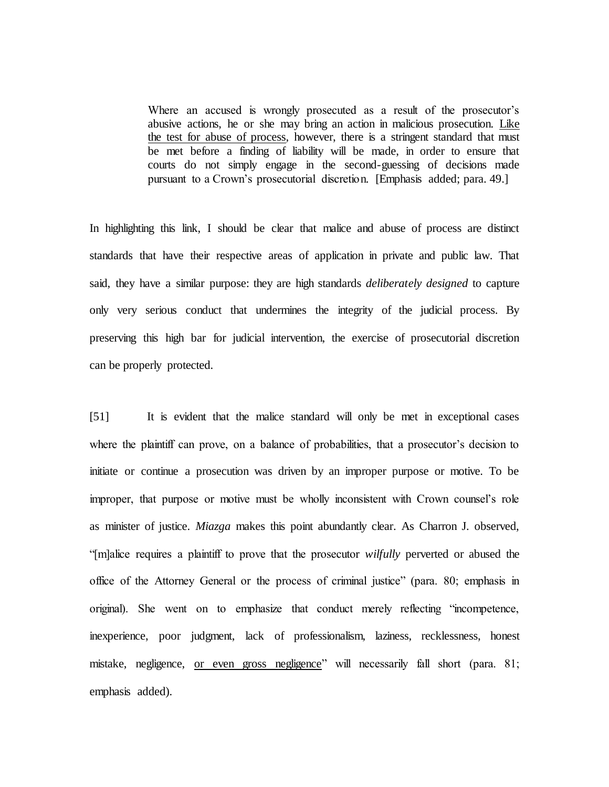Where an accused is wrongly prosecuted as a result of the prosecutor's abusive actions, he or she may bring an action in malicious prosecution. Like the test for abuse of process, however, there is a stringent standard that must be met before a finding of liability will be made, in order to ensure that courts do not simply engage in the second-guessing of decisions made pursuant to a Crown's prosecutorial discretion. [Emphasis added; para. 49.]

In highlighting this link, I should be clear that malice and abuse of process are distinct standards that have their respective areas of application in private and public law. That said, they have a similar purpose: they are high standards *deliberately designed* to capture only very serious conduct that undermines the integrity of the judicial process. By preserving this high bar for judicial intervention, the exercise of prosecutorial discretion can be properly protected.

[51] It is evident that the malice standard will only be met in exceptional cases where the plaintiff can prove, on a balance of probabilities, that a prosecutor's decision to initiate or continue a prosecution was driven by an improper purpose or motive. To be improper, that purpose or motive must be wholly inconsistent with Crown counsel's role as minister of justice. *Miazga* makes this point abundantly clear. As Charron J. observed, "[m]alice requires a plaintiff to prove that the prosecutor *wilfully* perverted or abused the office of the Attorney General or the process of criminal justice" (para. 80; emphasis in original). She went on to emphasize that conduct merely reflecting "incompetence, inexperience, poor judgment, lack of professionalism, laziness, recklessness, honest mistake, negligence, or even gross negligence" will necessarily fall short (para. 81; emphasis added).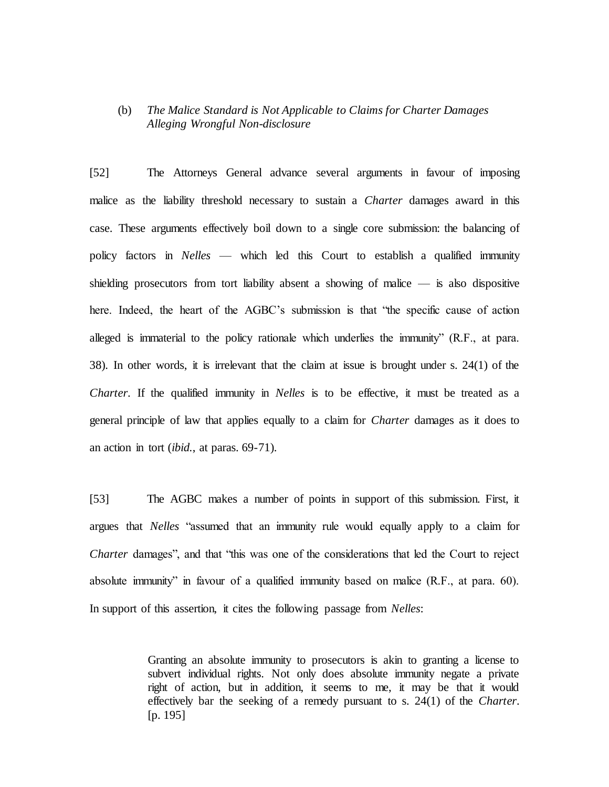# (b) *The Malice Standard is Not Applicable to Claims for Charter Damages Alleging Wrongful Non-disclosure*

[52] The Attorneys General advance several arguments in favour of imposing malice as the liability threshold necessary to sustain a *Charter* damages award in this case. These arguments effectively boil down to a single core submission: the balancing of policy factors in *Nelles* — which led this Court to establish a qualified immunity shielding prosecutors from tort liability absent a showing of malice — is also dispositive here. Indeed, the heart of the AGBC's submission is that "the specific cause of action alleged is immaterial to the policy rationale which underlies the immunity" (R.F., at para. 38). In other words, it is irrelevant that the claim at issue is brought under s. 24(1) of the *Charter*. If the qualified immunity in *Nelles* is to be effective, it must be treated as a general principle of law that applies equally to a claim for *Charter* damages as it does to an action in tort (*ibid.*, at paras. 69-71).

[53] The AGBC makes a number of points in support of this submission. First, it argues that *Nelles* "assumed that an immunity rule would equally apply to a claim for *Charter* damages", and that "this was one of the considerations that led the Court to reject absolute immunity" in favour of a qualified immunity based on malice (R.F., at para. 60). In support of this assertion, it cites the following passage from *Nelles*:

> Granting an absolute immunity to prosecutors is akin to granting a license to subvert individual rights. Not only does absolute immunity negate a private right of action, but in addition, it seems to me, it may be that it would effectively bar the seeking of a remedy pursuant to s. 24(1) of the *Charter*. [p. 195]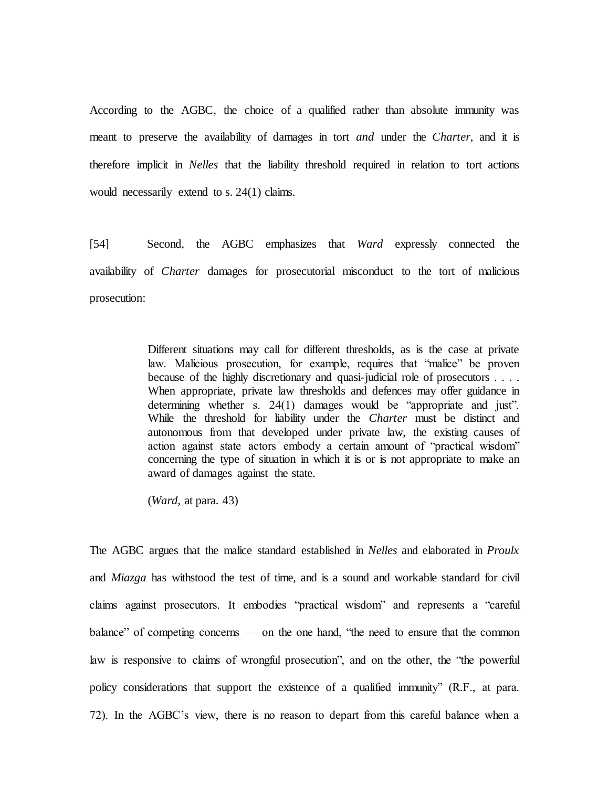According to the AGBC, the choice of a qualified rather than absolute immunity was meant to preserve the availability of damages in tort *and* under the *Charter*, and it is therefore implicit in *Nelles* that the liability threshold required in relation to tort actions would necessarily extend to s. 24(1) claims.

[54] Second, the AGBC emphasizes that *Ward* expressly connected the availability of *Charter* damages for prosecutorial misconduct to the tort of malicious prosecution:

> Different situations may call for different thresholds, as is the case at private law. Malicious prosecution, for example, requires that "malice" be proven because of the highly discretionary and quasi-judicial role of prosecutors . . . . When appropriate, private law thresholds and defences may offer guidance in determining whether s. 24(1) damages would be "appropriate and just". While the threshold for liability under the *Charter* must be distinct and autonomous from that developed under private law, the existing causes of action against state actors embody a certain amount of "practical wisdom" concerning the type of situation in which it is or is not appropriate to make an award of damages against the state.

(*Ward,* at para. 43)

The AGBC argues that the malice standard established in *Nelles* and elaborated in *Proulx*  and *Miazga* has withstood the test of time, and is a sound and workable standard for civil claims against prosecutors. It embodies "practical wisdom" and represents a "careful balance" of competing concerns — on the one hand, "the need to ensure that the common law is responsive to claims of wrongful prosecution", and on the other, the "the powerful policy considerations that support the existence of a qualified immunity" (R.F., at para. 72). In the AGBC's view, there is no reason to depart from this careful balance when a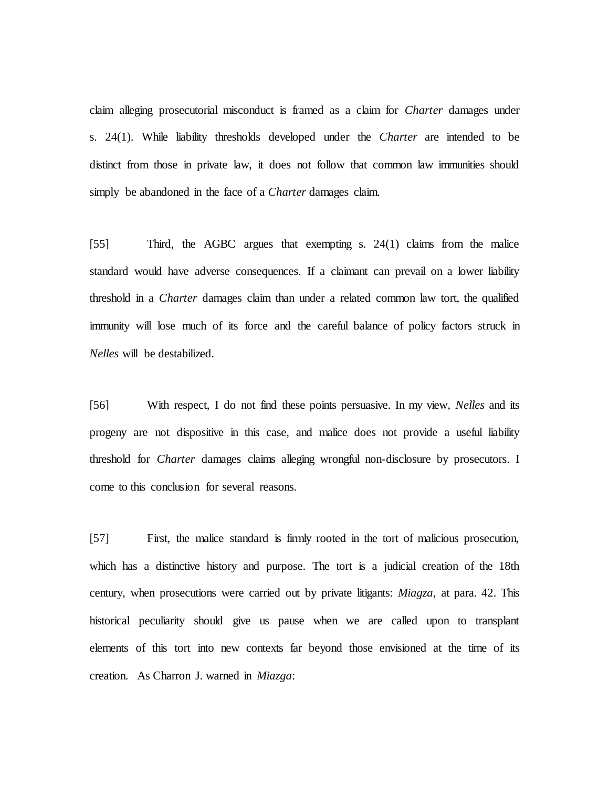claim alleging prosecutorial misconduct is framed as a claim for *Charter* damages under s. 24(1). While liability thresholds developed under the *Charter* are intended to be distinct from those in private law, it does not follow that common law immunities should simply be abandoned in the face of a *Charter* damages claim.

[55] Third, the AGBC argues that exempting s. 24(1) claims from the malice standard would have adverse consequences. If a claimant can prevail on a lower liability threshold in a *Charter* damages claim than under a related common law tort, the qualified immunity will lose much of its force and the careful balance of policy factors struck in *Nelles* will be destabilized.

[56] With respect, I do not find these points persuasive. In my view, *Nelles* and its progeny are not dispositive in this case, and malice does not provide a useful liability threshold for *Charter* damages claims alleging wrongful non-disclosure by prosecutors. I come to this conclusion for several reasons.

[57] First, the malice standard is firmly rooted in the tort of malicious prosecution, which has a distinctive history and purpose. The tort is a judicial creation of the 18th century, when prosecutions were carried out by private litigants: *Miagza*, at para. 42. This historical peculiarity should give us pause when we are called upon to transplant elements of this tort into new contexts far beyond those envisioned at the time of its creation. As Charron J. warned in *Miazga*: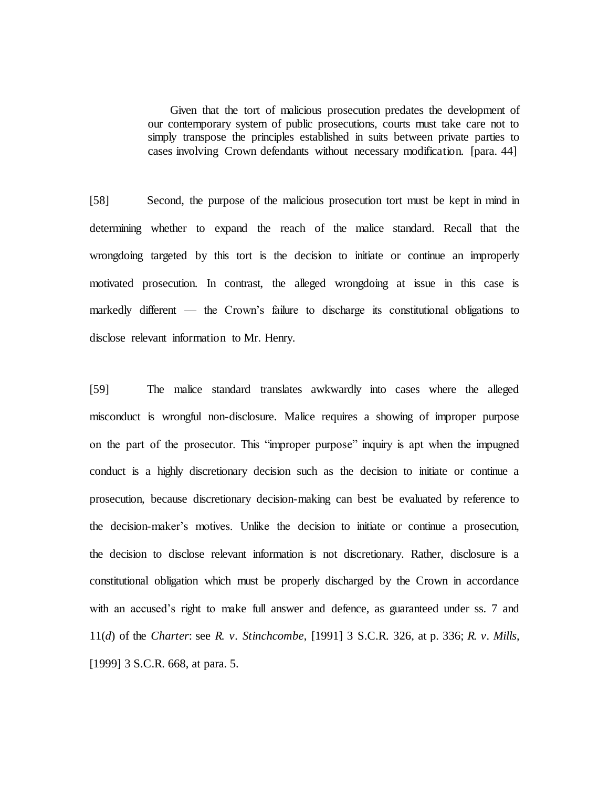Given that the tort of malicious prosecution predates the development of our contemporary system of public prosecutions, courts must take care not to simply transpose the principles established in suits between private parties to cases involving Crown defendants without necessary modification. [para. 44]

[58] Second, the purpose of the malicious prosecution tort must be kept in mind in determining whether to expand the reach of the malice standard. Recall that the wrongdoing targeted by this tort is the decision to initiate or continue an improperly motivated prosecution. In contrast, the alleged wrongdoing at issue in this case is markedly different — the Crown's failure to discharge its constitutional obligations to disclose relevant information to Mr. Henry.

[59] The malice standard translates awkwardly into cases where the alleged misconduct is wrongful non-disclosure. Malice requires a showing of improper purpose on the part of the prosecutor. This "improper purpose" inquiry is apt when the impugned conduct is a highly discretionary decision such as the decision to initiate or continue a prosecution, because discretionary decision-making can best be evaluated by reference to the decision-maker's motives. Unlike the decision to initiate or continue a prosecution, the decision to disclose relevant information is not discretionary. Rather, disclosure is a constitutional obligation which must be properly discharged by the Crown in accordance with an accused's right to make full answer and defence, as guaranteed under ss. 7 and 11(*d*) of the *Charter*: see *R. v. Stinchcombe*, [1991] 3 S.C.R. 326, at p. 336; *R. v. Mills*, [1999] 3 S.C.R. 668, at para. 5.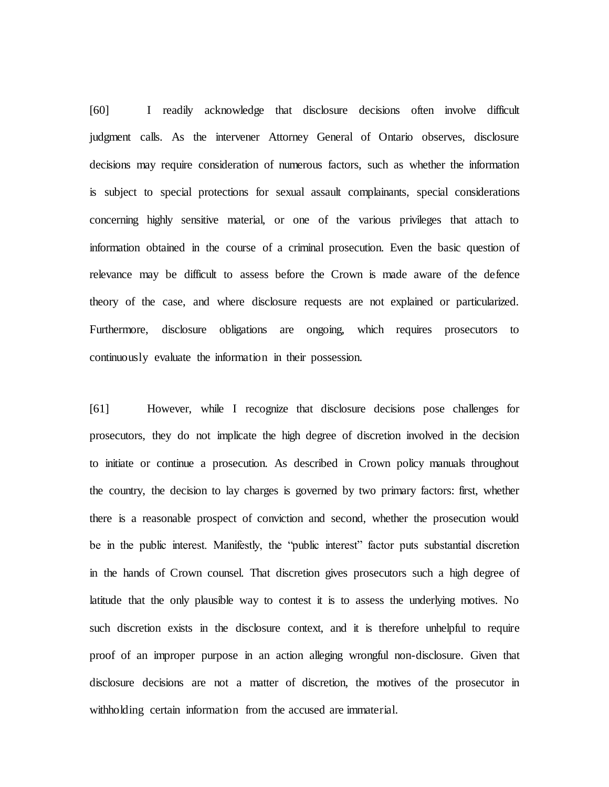[60] I readily acknowledge that disclosure decisions often involve difficult judgment calls. As the intervener Attorney General of Ontario observes, disclosure decisions may require consideration of numerous factors, such as whether the information is subject to special protections for sexual assault complainants, special considerations concerning highly sensitive material, or one of the various privileges that attach to information obtained in the course of a criminal prosecution. Even the basic question of relevance may be difficult to assess before the Crown is made aware of the defence theory of the case, and where disclosure requests are not explained or particularized. Furthermore, disclosure obligations are ongoing, which requires prosecutors to continuously evaluate the information in their possession.

[61] However, while I recognize that disclosure decisions pose challenges for prosecutors, they do not implicate the high degree of discretion involved in the decision to initiate or continue a prosecution. As described in Crown policy manuals throughout the country, the decision to lay charges is governed by two primary factors: first, whether there is a reasonable prospect of conviction and second, whether the prosecution would be in the public interest. Manifestly, the "public interest" factor puts substantial discretion in the hands of Crown counsel. That discretion gives prosecutors such a high degree of latitude that the only plausible way to contest it is to assess the underlying motives. No such discretion exists in the disclosure context, and it is therefore unhelpful to require proof of an improper purpose in an action alleging wrongful non-disclosure. Given that disclosure decisions are not a matter of discretion, the motives of the prosecutor in withholding certain information from the accused are immaterial.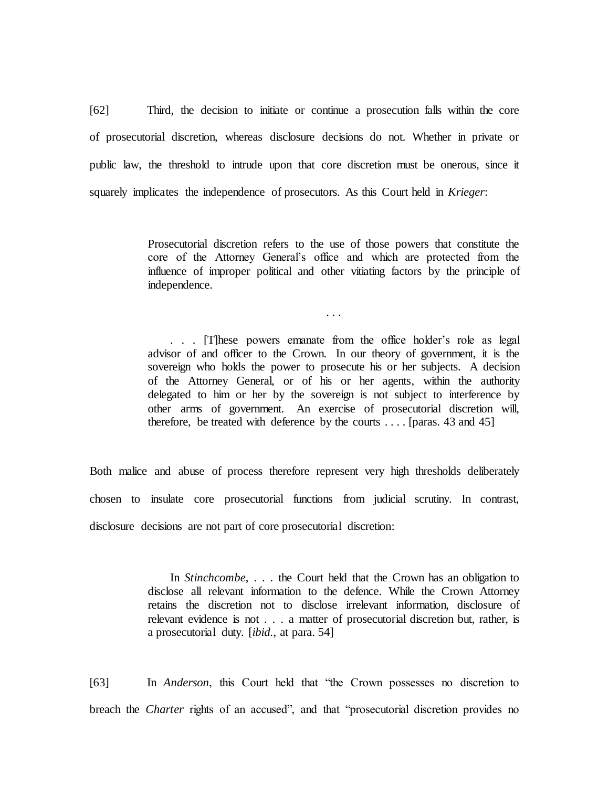[62] Third, the decision to initiate or continue a prosecution falls within the core of prosecutorial discretion, whereas disclosure decisions do not. Whether in private or public law, the threshold to intrude upon that core discretion must be onerous, since it squarely implicates the independence of prosecutors. As this Court held in *Krieger*:

> Prosecutorial discretion refers to the use of those powers that constitute the core of the Attorney General's office and which are protected from the influence of improper political and other vitiating factors by the principle of independence.

> > . . .

. . . [T]hese powers emanate from the office holder's role as legal advisor of and officer to the Crown. In our theory of government, it is the sovereign who holds the power to prosecute his or her subjects. A decision of the Attorney General, or of his or her agents, within the authority delegated to him or her by the sovereign is not subject to interference by other arms of government. An exercise of prosecutorial discretion will, therefore, be treated with deference by the courts  $\dots$  [paras. 43 and 45]

Both malice and abuse of process therefore represent very high thresholds deliberately chosen to insulate core prosecutorial functions from judicial scrutiny. In contrast, disclosure decisions are not part of core prosecutorial discretion:

> In *Stinchcombe*, . . . the Court held that the Crown has an obligation to disclose all relevant information to the defence. While the Crown Attorney retains the discretion not to disclose irrelevant information, disclosure of relevant evidence is not . . . a matter of prosecutorial discretion but, rather, is a prosecutorial duty. [*ibid.*, at para. 54]

[63] In *Anderson*, this Court held that "the Crown possesses no discretion to breach the *Charter* rights of an accused", and that "prosecutorial discretion provides no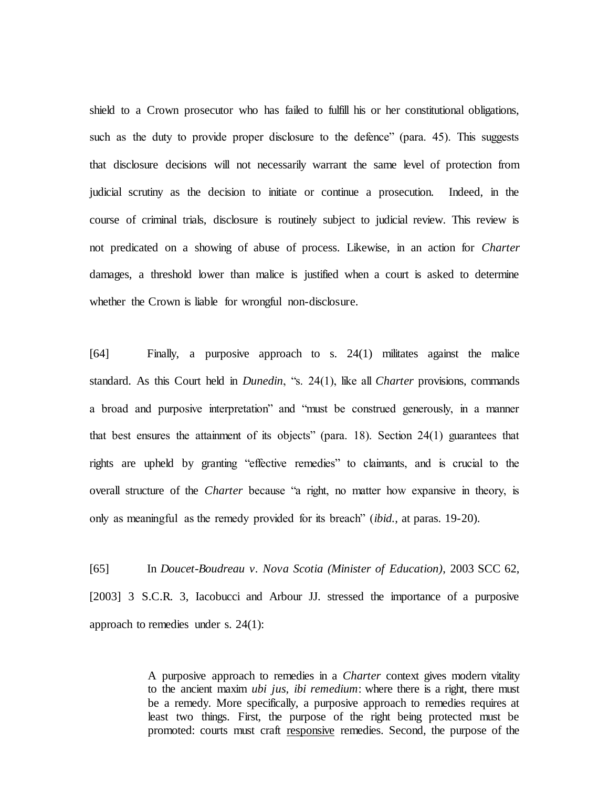shield to a Crown prosecutor who has failed to fulfill his or her constitutional obligations, such as the duty to provide proper disclosure to the defence" (para. 45). This suggests that disclosure decisions will not necessarily warrant the same level of protection from judicial scrutiny as the decision to initiate or continue a prosecution. Indeed, in the course of criminal trials, disclosure is routinely subject to judicial review. This review is not predicated on a showing of abuse of process. Likewise, in an action for *Charter*  damages, a threshold lower than malice is justified when a court is asked to determine whether the Crown is liable for wrongful non-disclosure.

[64] Finally, a purposive approach to s. 24(1) militates against the malice standard. As this Court held in *Dunedin*, "s. 24(1), like all *Charter* provisions, commands a broad and purposive interpretation" and "must be construed generously, in a manner that best ensures the attainment of its objects" (para. 18). Section  $24(1)$  guarantees that rights are upheld by granting "effective remedies" to claimants, and is crucial to the overall structure of the *Charter* because "a right, no matter how expansive in theory, is only as meaningful as the remedy provided for its breach" (*ibid.*, at paras. 19-20).

[65] In *Doucet-Boudreau v. Nova Scotia (Minister of Education)*, 2003 SCC 62, [2003] 3 S.C.R. 3, Iacobucci and Arbour JJ. stressed the importance of a purposive approach to remedies under s. 24(1):

> A purposive approach to remedies in a *Charter* context gives modern vitality to the ancient maxim *ubi jus, ibi remedium*: where there is a right, there must be a remedy. More specifically, a purposive approach to remedies requires at least two things. First, the purpose of the right being protected must be promoted: courts must craft responsive remedies. Second, the purpose of the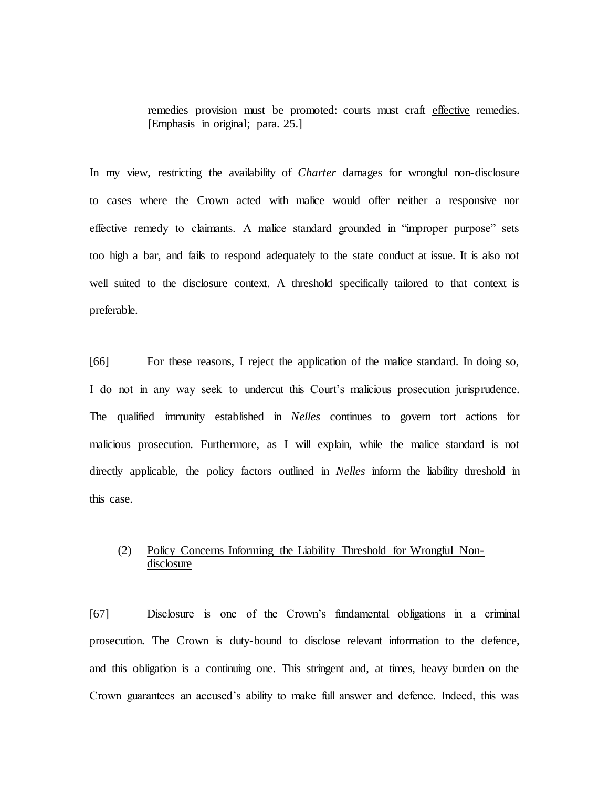remedies provision must be promoted: courts must craft effective remedies. [Emphasis in original; para. 25.]

In my view, restricting the availability of *Charter* damages for wrongful non-disclosure to cases where the Crown acted with malice would offer neither a responsive nor effective remedy to claimants. A malice standard grounded in "improper purpose" sets too high a bar, and fails to respond adequately to the state conduct at issue. It is also not well suited to the disclosure context. A threshold specifically tailored to that context is preferable.

[66] For these reasons, I reject the application of the malice standard. In doing so, I do not in any way seek to undercut this Court's malicious prosecution jurisprudence. The qualified immunity established in *Nelles* continues to govern tort actions for malicious prosecution. Furthermore, as I will explain, while the malice standard is not directly applicable, the policy factors outlined in *Nelles* inform the liability threshold in this case.

# (2) Policy Concerns Informing the Liability Threshold for Wrongful Nondisclosure

[67] Disclosure is one of the Crown's fundamental obligations in a criminal prosecution. The Crown is duty-bound to disclose relevant information to the defence, and this obligation is a continuing one. This stringent and, at times, heavy burden on the Crown guarantees an accused's ability to make full answer and defence. Indeed, this was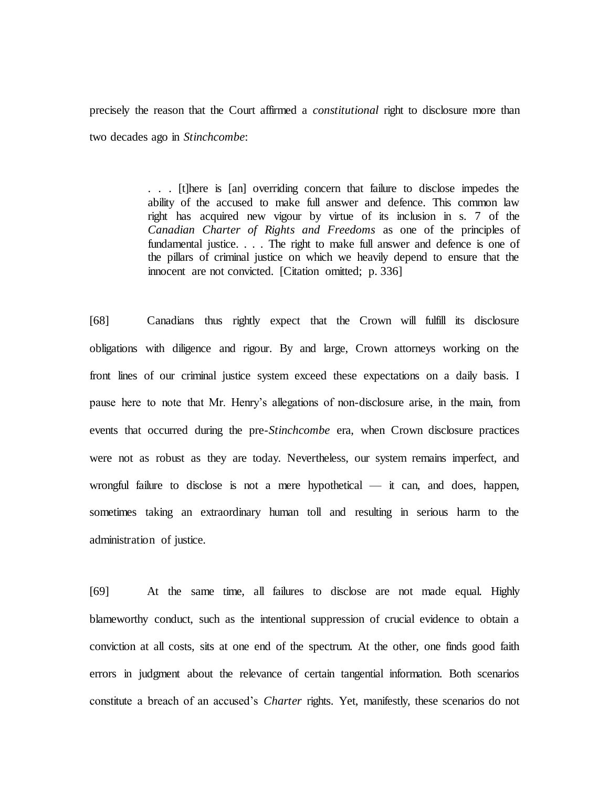precisely the reason that the Court affirmed a *constitutional* right to disclosure more than two decades ago in *Stinchcombe*:

> . . . [t]here is [an] overriding concern that failure to disclose impedes the ability of the accused to make full answer and defence. This common law right has acquired new vigour by virtue of its inclusion in s. 7 of the *Canadian Charter of Rights and Freedoms* as one of the principles of fundamental justice. . . . The right to make full answer and defence is one of the pillars of criminal justice on which we heavily depend to ensure that the innocent are not convicted. [Citation omitted; p. 336]

[68] Canadians thus rightly expect that the Crown will fulfill its disclosure obligations with diligence and rigour. By and large, Crown attorneys working on the front lines of our criminal justice system exceed these expectations on a daily basis. I pause here to note that Mr. Henry's allegations of non-disclosure arise, in the main, from events that occurred during the pre-*Stinchcombe* era, when Crown disclosure practices were not as robust as they are today. Nevertheless, our system remains imperfect, and wrongful failure to disclose is not a mere hypothetical — it can, and does, happen, sometimes taking an extraordinary human toll and resulting in serious harm to the administration of justice.

[69] At the same time, all failures to disclose are not made equal. Highly blameworthy conduct, such as the intentional suppression of crucial evidence to obtain a conviction at all costs, sits at one end of the spectrum. At the other, one finds good faith errors in judgment about the relevance of certain tangential information. Both scenarios constitute a breach of an accused's *Charter* rights. Yet, manifestly, these scenarios do not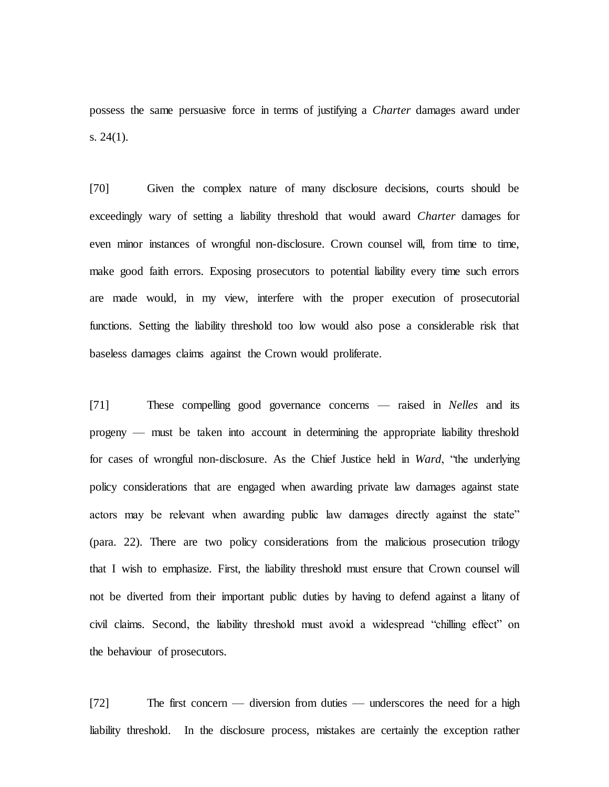possess the same persuasive force in terms of justifying a *Charter* damages award under s. 24(1).

[70] Given the complex nature of many disclosure decisions, courts should be exceedingly wary of setting a liability threshold that would award *Charter* damages for even minor instances of wrongful non-disclosure. Crown counsel will, from time to time, make good faith errors. Exposing prosecutors to potential liability every time such errors are made would, in my view, interfere with the proper execution of prosecutorial functions. Setting the liability threshold too low would also pose a considerable risk that baseless damages claims against the Crown would proliferate.

[71] These compelling good governance concerns — raised in *Nelles* and its progeny — must be taken into account in determining the appropriate liability threshold for cases of wrongful non-disclosure. As the Chief Justice held in *Ward*, "the underlying policy considerations that are engaged when awarding private law damages against state actors may be relevant when awarding public law damages directly against the state" (para. 22). There are two policy considerations from the malicious prosecution trilogy that I wish to emphasize. First, the liability threshold must ensure that Crown counsel will not be diverted from their important public duties by having to defend against a litany of civil claims. Second, the liability threshold must avoid a widespread "chilling effect" on the behaviour of prosecutors.

[72] The first concern — diversion from duties — underscores the need for a high liability threshold. In the disclosure process, mistakes are certainly the exception rather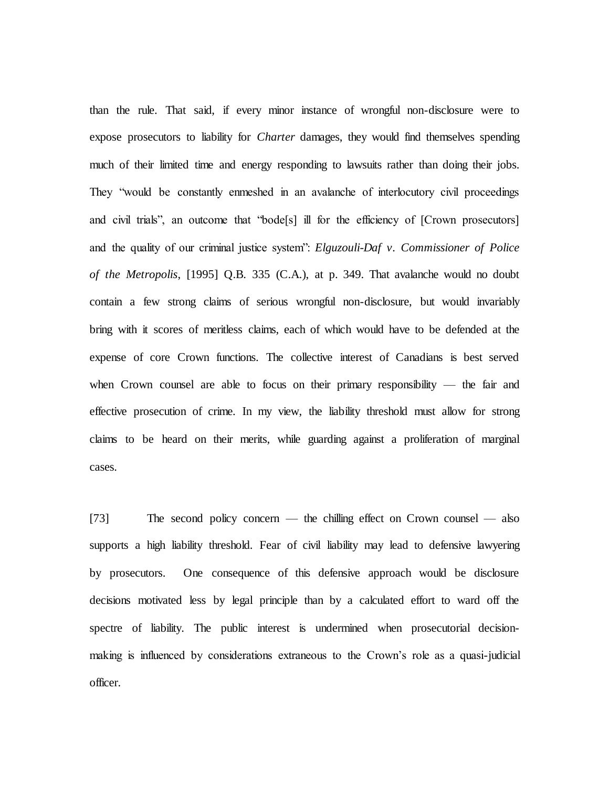than the rule. That said, if every minor instance of wrongful non-disclosure were to expose prosecutors to liability for *Charter* damages, they would find themselves spending much of their limited time and energy responding to lawsuits rather than doing their jobs. They "would be constantly enmeshed in an avalanche of interlocutory civil proceedings and civil trials", an outcome that "bode[s] ill for the efficiency of [Crown prosecutors] and the quality of our criminal justice system": *Elguzouli-Daf v. Commissioner of Police of the Metropolis*, [1995] Q.B. 335 (C.A.), at p. 349. That avalanche would no doubt contain a few strong claims of serious wrongful non-disclosure, but would invariably bring with it scores of meritless claims, each of which would have to be defended at the expense of core Crown functions. The collective interest of Canadians is best served when Crown counsel are able to focus on their primary responsibility — the fair and effective prosecution of crime. In my view, the liability threshold must allow for strong claims to be heard on their merits, while guarding against a proliferation of marginal cases.

[73] The second policy concern — the chilling effect on Crown counsel — also supports a high liability threshold. Fear of civil liability may lead to defensive lawyering by prosecutors. One consequence of this defensive approach would be disclosure decisions motivated less by legal principle than by a calculated effort to ward off the spectre of liability. The public interest is undermined when prosecutorial decisionmaking is influenced by considerations extraneous to the Crown's role as a quasi-judicial officer.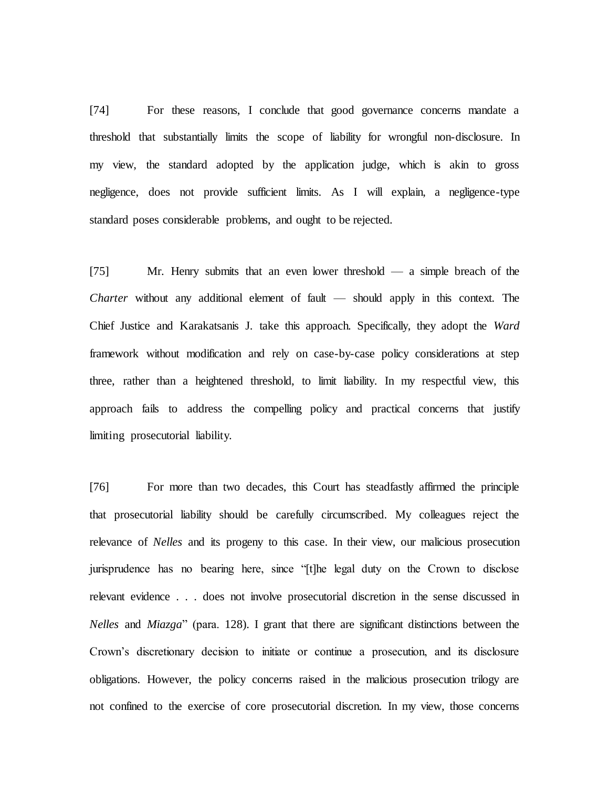[74] For these reasons, I conclude that good governance concerns mandate a threshold that substantially limits the scope of liability for wrongful non-disclosure. In my view, the standard adopted by the application judge, which is akin to gross negligence, does not provide sufficient limits. As I will explain, a negligence-type standard poses considerable problems, and ought to be rejected.

[75] Mr. Henry submits that an even lower threshold — a simple breach of the *Charter* without any additional element of fault — should apply in this context. The Chief Justice and Karakatsanis J. take this approach. Specifically, they adopt the *Ward*  framework without modification and rely on case-by-case policy considerations at step three, rather than a heightened threshold, to limit liability. In my respectful view, this approach fails to address the compelling policy and practical concerns that justify limiting prosecutorial liability.

[76] For more than two decades, this Court has steadfastly affirmed the principle that prosecutorial liability should be carefully circumscribed. My colleagues reject the relevance of *Nelles* and its progeny to this case. In their view, our malicious prosecution jurisprudence has no bearing here, since "[t]he legal duty on the Crown to disclose relevant evidence . . . does not involve prosecutorial discretion in the sense discussed in *Nelles* and *Miazga*" (para. 128). I grant that there are significant distinctions between the Crown's discretionary decision to initiate or continue a prosecution, and its disclosure obligations. However, the policy concerns raised in the malicious prosecution trilogy are not confined to the exercise of core prosecutorial discretion. In my view, those concerns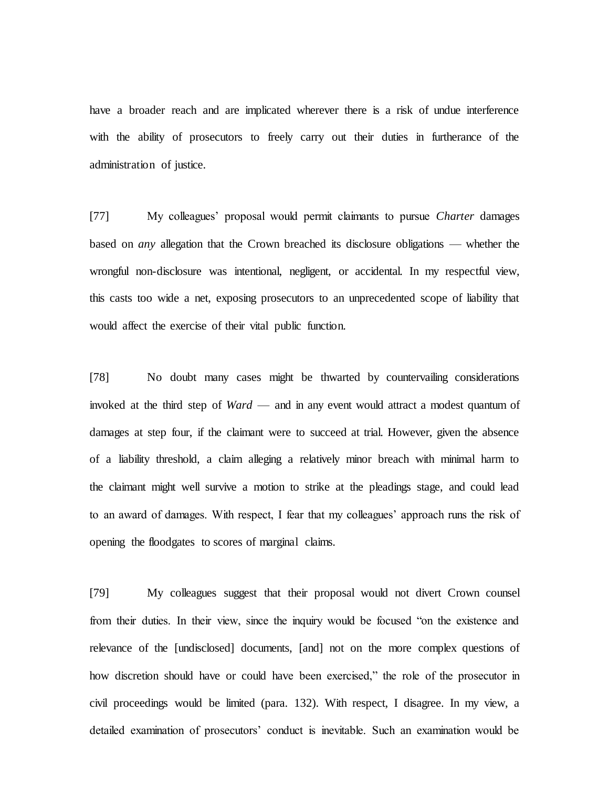have a broader reach and are implicated wherever there is a risk of undue interference with the ability of prosecutors to freely carry out their duties in furtherance of the administration of justice.

[77] My colleagues' proposal would permit claimants to pursue *Charter* damages based on *any* allegation that the Crown breached its disclosure obligations — whether the wrongful non-disclosure was intentional, negligent, or accidental. In my respectful view, this casts too wide a net, exposing prosecutors to an unprecedented scope of liability that would affect the exercise of their vital public function.

[78] No doubt many cases might be thwarted by countervailing considerations invoked at the third step of *Ward* — and in any event would attract a modest quantum of damages at step four, if the claimant were to succeed at trial. However, given the absence of a liability threshold, a claim alleging a relatively minor breach with minimal harm to the claimant might well survive a motion to strike at the pleadings stage, and could lead to an award of damages. With respect, I fear that my colleagues' approach runs the risk of opening the floodgates to scores of marginal claims.

[79] My colleagues suggest that their proposal would not divert Crown counsel from their duties. In their view, since the inquiry would be focused "on the existence and relevance of the [undisclosed] documents, [and] not on the more complex questions of how discretion should have or could have been exercised," the role of the prosecutor in civil proceedings would be limited (para. 132). With respect, I disagree. In my view, a detailed examination of prosecutors' conduct is inevitable. Such an examination would be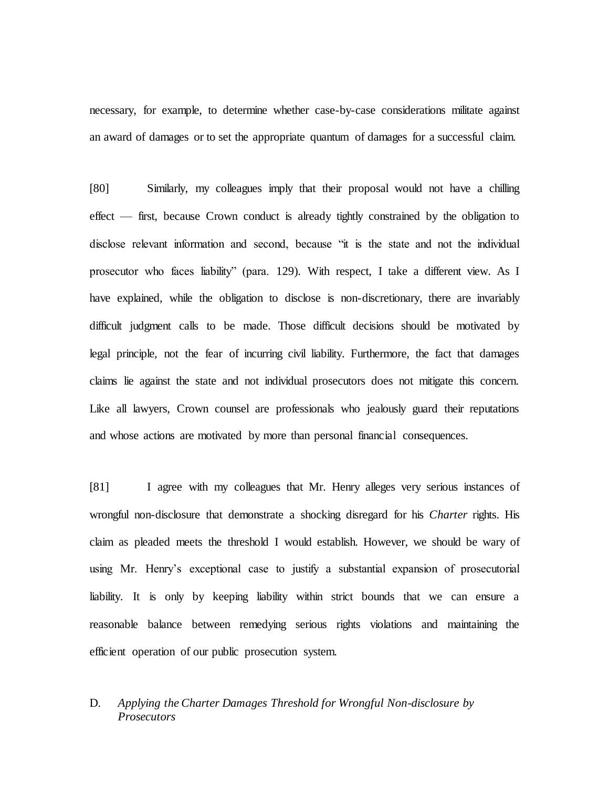necessary, for example, to determine whether case-by-case considerations militate against an award of damages or to set the appropriate quantum of damages for a successful claim.

[80] Similarly, my colleagues imply that their proposal would not have a chilling effect — first, because Crown conduct is already tightly constrained by the obligation to disclose relevant information and second, because "it is the state and not the individual prosecutor who faces liability" (para. 129). With respect, I take a different view. As I have explained, while the obligation to disclose is non-discretionary, there are invariably difficult judgment calls to be made. Those difficult decisions should be motivated by legal principle, not the fear of incurring civil liability. Furthermore, the fact that damages claims lie against the state and not individual prosecutors does not mitigate this concern. Like all lawyers, Crown counsel are professionals who jealously guard their reputations and whose actions are motivated by more than personal financial consequences.

[81] I agree with my colleagues that Mr. Henry alleges very serious instances of wrongful non-disclosure that demonstrate a shocking disregard for his *Charter* rights. His claim as pleaded meets the threshold I would establish. However, we should be wary of using Mr. Henry's exceptional case to justify a substantial expansion of prosecutorial liability. It is only by keeping liability within strict bounds that we can ensure a reasonable balance between remedying serious rights violations and maintaining the efficient operation of our public prosecution system.

# D. *Applying the Charter Damages Threshold for Wrongful Non-disclosure by Prosecutors*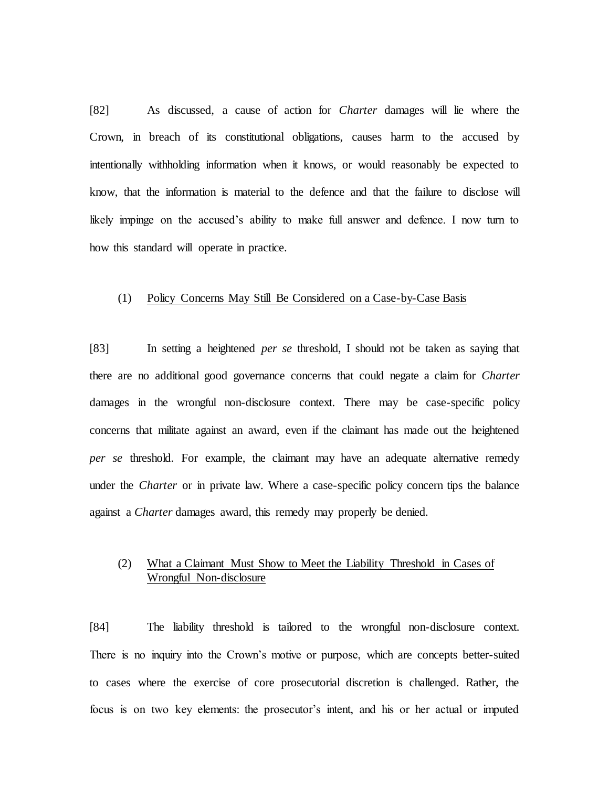[82] As discussed, a cause of action for *Charter* damages will lie where the Crown, in breach of its constitutional obligations, causes harm to the accused by intentionally withholding information when it knows, or would reasonably be expected to know, that the information is material to the defence and that the failure to disclose will likely impinge on the accused's ability to make full answer and defence. I now turn to how this standard will operate in practice.

### (1) Policy Concerns May Still Be Considered on a Case-by-Case Basis

[83] In setting a heightened *per se* threshold, I should not be taken as saying that there are no additional good governance concerns that could negate a claim for *Charter*  damages in the wrongful non-disclosure context. There may be case-specific policy concerns that militate against an award, even if the claimant has made out the heightened *per se* threshold. For example, the claimant may have an adequate alternative remedy under the *Charter* or in private law. Where a case-specific policy concern tips the balance against a *Charter* damages award, this remedy may properly be denied.

# (2) What a Claimant Must Show to Meet the Liability Threshold in Cases of Wrongful Non-disclosure

[84] The liability threshold is tailored to the wrongful non-disclosure context. There is no inquiry into the Crown's motive or purpose, which are concepts better-suited to cases where the exercise of core prosecutorial discretion is challenged. Rather, the focus is on two key elements: the prosecutor's intent, and his or her actual or imputed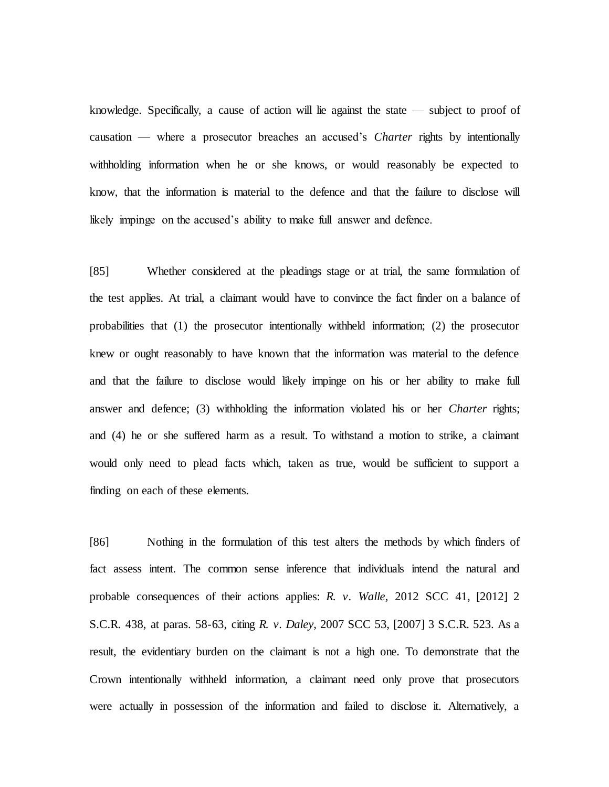knowledge. Specifically, a cause of action will lie against the state — subject to proof of causation — where a prosecutor breaches an accused's *Charter* rights by intentionally withholding information when he or she knows, or would reasonably be expected to know, that the information is material to the defence and that the failure to disclose will likely impinge on the accused's ability to make full answer and defence.

[85] Whether considered at the pleadings stage or at trial, the same formulation of the test applies. At trial, a claimant would have to convince the fact finder on a balance of probabilities that (1) the prosecutor intentionally withheld information; (2) the prosecutor knew or ought reasonably to have known that the information was material to the defence and that the failure to disclose would likely impinge on his or her ability to make full answer and defence; (3) withholding the information violated his or her *Charter* rights; and (4) he or she suffered harm as a result. To withstand a motion to strike, a claimant would only need to plead facts which, taken as true, would be sufficient to support a finding on each of these elements.

[86] Nothing in the formulation of this test alters the methods by which finders of fact assess intent. The common sense inference that individuals intend the natural and probable consequences of their actions applies: *R. v. Walle*, 2012 SCC 41, [2012] 2 S.C.R. 438, at paras. 58-63, citing *R. v. Daley*, 2007 SCC 53, [2007] 3 S.C.R. 523. As a result, the evidentiary burden on the claimant is not a high one. To demonstrate that the Crown intentionally withheld information, a claimant need only prove that prosecutors were actually in possession of the information and failed to disclose it. Alternatively, a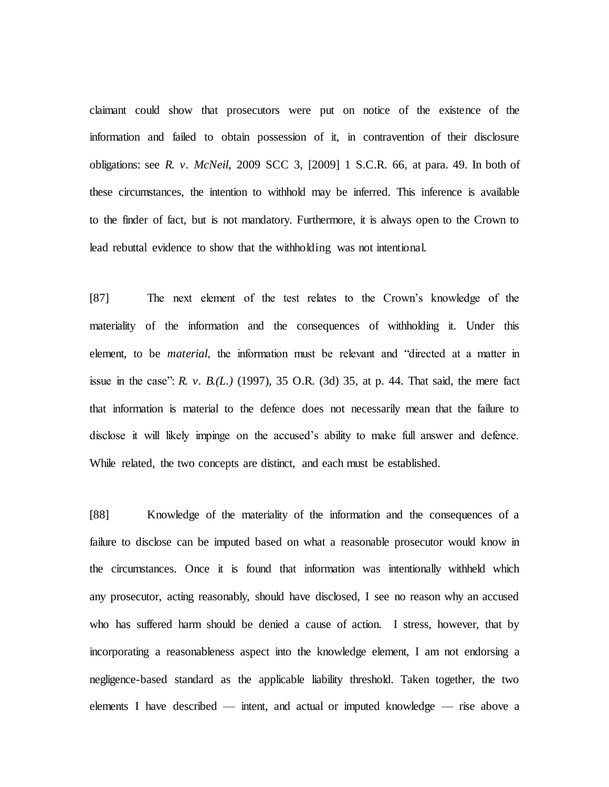claimant could show that prosecutors were put on notice of the existence of the information and failed to obtain possession of it, in contravention of their disclosure obligations: see *R. v. McNeil*, 2009 SCC 3, [2009] 1 S.C.R. 66, at para. 49. In both of these circumstances, the intention to withhold may be inferred. This inference is available to the finder of fact, but is not mandatory. Furthermore, it is always open to the Crown to lead rebuttal evidence to show that the withholding was not intentional.

[87] The next element of the test relates to the Crown's knowledge of the materiality of the information and the consequences of withholding it. Under this element, to be *material*, the information must be relevant and "directed at a matter in issue in the case": *R. v. B.(L.)* (1997), 35 O.R. (3d) 35, at p. 44. That said, the mere fact that information is material to the defence does not necessarily mean that the failure to disclose it will likely impinge on the accused's ability to make full answer and defence. While related, the two concepts are distinct, and each must be established.

[88] Knowledge of the materiality of the information and the consequences of a failure to disclose can be imputed based on what a reasonable prosecutor would know in the circumstances. Once it is found that information was intentionally withheld which any prosecutor, acting reasonably, should have disclosed, I see no reason why an accused who has suffered harm should be denied a cause of action. I stress, however, that by incorporating a reasonableness aspect into the knowledge element, I am not endorsing a negligence-based standard as the applicable liability threshold. Taken together, the two elements I have described — intent, and actual or imputed knowledge — rise above a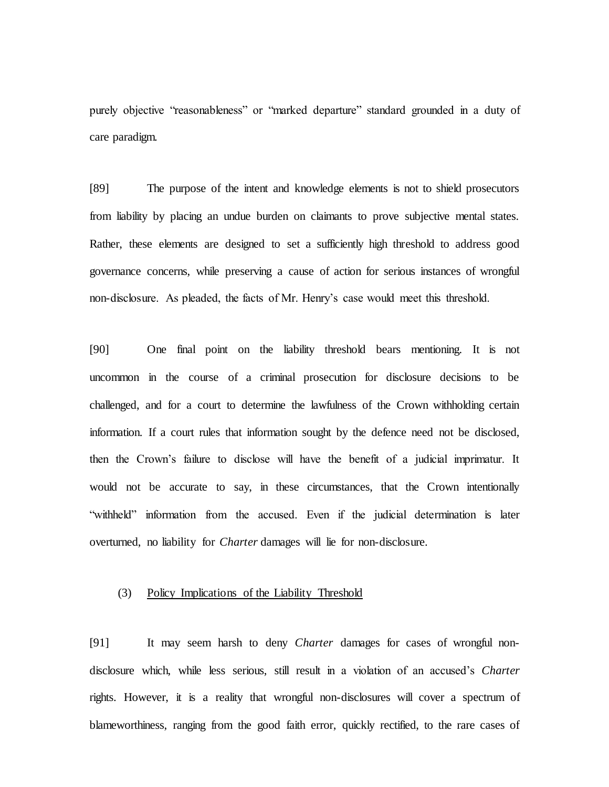purely objective "reasonableness" or "marked departure" standard grounded in a duty of care paradigm.

[89] The purpose of the intent and knowledge elements is not to shield prosecutors from liability by placing an undue burden on claimants to prove subjective mental states. Rather, these elements are designed to set a sufficiently high threshold to address good governance concerns, while preserving a cause of action for serious instances of wrongful non-disclosure. As pleaded, the facts of Mr. Henry's case would meet this threshold.

[90] One final point on the liability threshold bears mentioning. It is not uncommon in the course of a criminal prosecution for disclosure decisions to be challenged, and for a court to determine the lawfulness of the Crown withholding certain information. If a court rules that information sought by the defence need not be disclosed, then the Crown's failure to disclose will have the benefit of a judicial imprimatur. It would not be accurate to say, in these circumstances, that the Crown intentionally "withheld" information from the accused. Even if the judicial determination is later overturned, no liability for *Charter* damages will lie for non-disclosure.

## (3) Policy Implications of the Liability Threshold

[91] It may seem harsh to deny *Charter* damages for cases of wrongful nondisclosure which, while less serious, still result in a violation of an accused's *Charter* rights. However, it is a reality that wrongful non-disclosures will cover a spectrum of blameworthiness, ranging from the good faith error, quickly rectified, to the rare cases of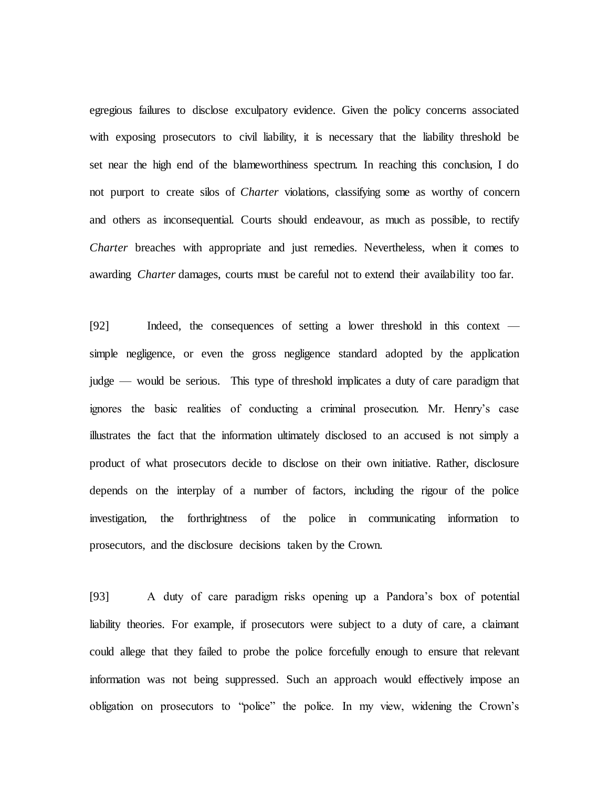egregious failures to disclose exculpatory evidence. Given the policy concerns associated with exposing prosecutors to civil liability, it is necessary that the liability threshold be set near the high end of the blameworthiness spectrum. In reaching this conclusion, I do not purport to create silos of *Charter* violations, classifying some as worthy of concern and others as inconsequential. Courts should endeavour, as much as possible, to rectify *Charter* breaches with appropriate and just remedies. Nevertheless, when it comes to awarding *Charter* damages, courts must be careful not to extend their availability too far.

[92] Indeed, the consequences of setting a lower threshold in this context simple negligence, or even the gross negligence standard adopted by the application judge — would be serious. This type of threshold implicates a duty of care paradigm that ignores the basic realities of conducting a criminal prosecution. Mr. Henry's case illustrates the fact that the information ultimately disclosed to an accused is not simply a product of what prosecutors decide to disclose on their own initiative. Rather, disclosure depends on the interplay of a number of factors, including the rigour of the police investigation, the forthrightness of the police in communicating information to prosecutors, and the disclosure decisions taken by the Crown.

[93] A duty of care paradigm risks opening up a Pandora's box of potential liability theories. For example, if prosecutors were subject to a duty of care, a claimant could allege that they failed to probe the police forcefully enough to ensure that relevant information was not being suppressed. Such an approach would effectively impose an obligation on prosecutors to "police" the police. In my view, widening the Crown's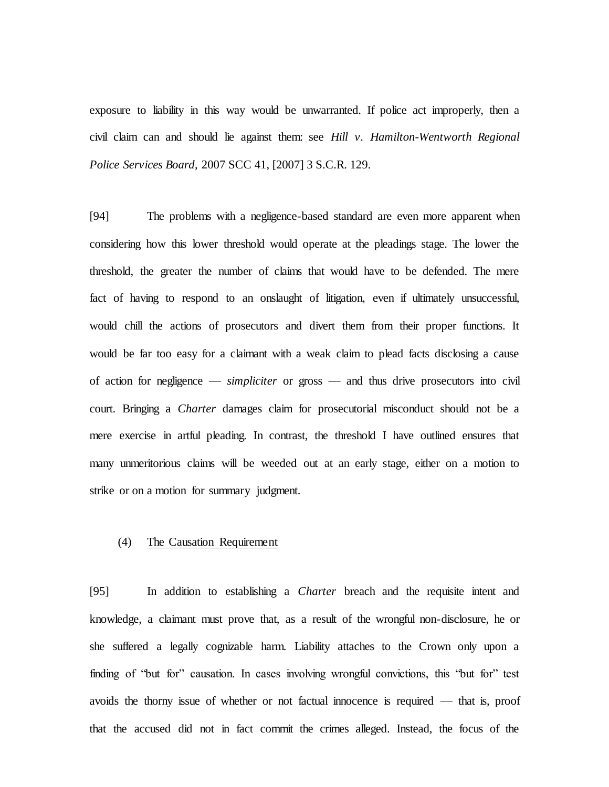exposure to liability in this way would be unwarranted. If police act improperly, then a civil claim can and should lie against them: see *Hill v. Hamilton-Wentworth Regional Police Services Board*, 2007 SCC 41, [2007] 3 S.C.R. 129.

[94] The problems with a negligence-based standard are even more apparent when considering how this lower threshold would operate at the pleadings stage. The lower the threshold, the greater the number of claims that would have to be defended. The mere fact of having to respond to an onslaught of litigation, even if ultimately unsuccessful, would chill the actions of prosecutors and divert them from their proper functions. It would be far too easy for a claimant with a weak claim to plead facts disclosing a cause of action for negligence — *simpliciter* or gross — and thus drive prosecutors into civil court. Bringing a *Charter* damages claim for prosecutorial misconduct should not be a mere exercise in artful pleading. In contrast, the threshold I have outlined ensures that many unmeritorious claims will be weeded out at an early stage, either on a motion to strike or on a motion for summary judgment.

## (4) The Causation Requirement

[95] In addition to establishing a *Charter* breach and the requisite intent and knowledge, a claimant must prove that, as a result of the wrongful non-disclosure, he or she suffered a legally cognizable harm. Liability attaches to the Crown only upon a finding of "but for" causation. In cases involving wrongful convictions, this "but for" test avoids the thorny issue of whether or not factual innocence is required — that is, proof that the accused did not in fact commit the crimes alleged. Instead, the focus of the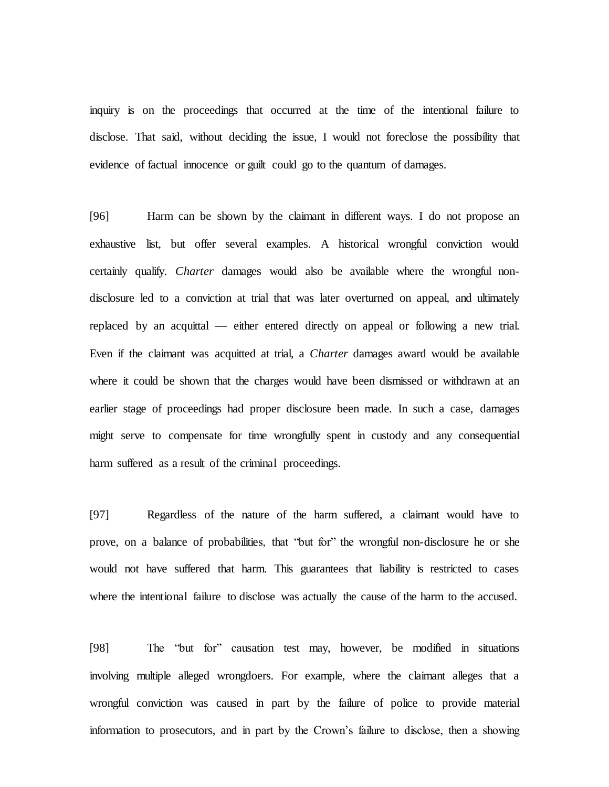inquiry is on the proceedings that occurred at the time of the intentional failure to disclose. That said, without deciding the issue, I would not foreclose the possibility that evidence of factual innocence or guilt could go to the quantum of damages.

[96] Harm can be shown by the claimant in different ways. I do not propose an exhaustive list, but offer several examples. A historical wrongful conviction would certainly qualify. *Charter* damages would also be available where the wrongful nondisclosure led to a conviction at trial that was later overturned on appeal, and ultimately replaced by an acquittal — either entered directly on appeal or following a new trial. Even if the claimant was acquitted at trial, a *Charter* damages award would be available where it could be shown that the charges would have been dismissed or withdrawn at an earlier stage of proceedings had proper disclosure been made. In such a case, damages might serve to compensate for time wrongfully spent in custody and any consequential harm suffered as a result of the criminal proceedings.

[97] Regardless of the nature of the harm suffered, a claimant would have to prove, on a balance of probabilities, that "but for" the wrongful non-disclosure he or she would not have suffered that harm. This guarantees that liability is restricted to cases where the intentional failure to disclose was actually the cause of the harm to the accused.

[98] The "but for" causation test may, however, be modified in situations involving multiple alleged wrongdoers. For example, where the claimant alleges that a wrongful conviction was caused in part by the failure of police to provide material information to prosecutors, and in part by the Crown's failure to disclose, then a showing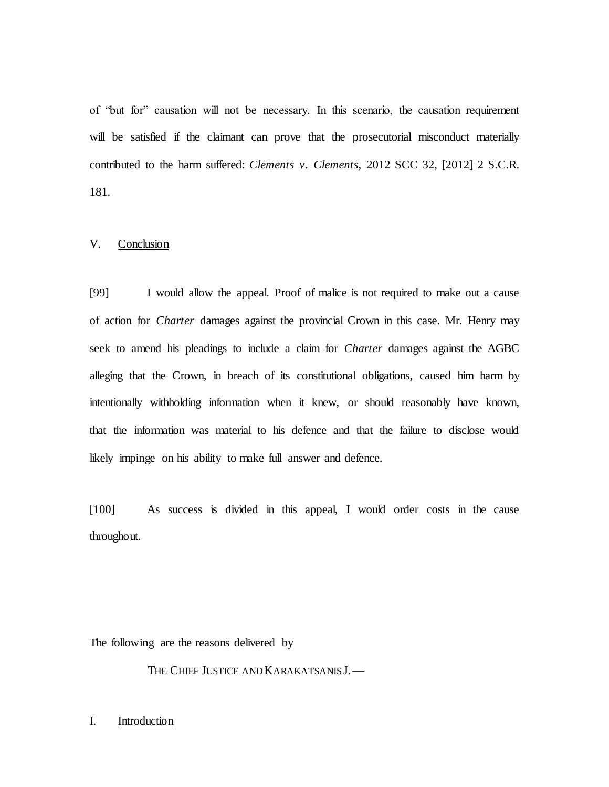of "but for" causation will not be necessary. In this scenario, the causation requirement will be satisfied if the claimant can prove that the prosecutorial misconduct materially contributed to the harm suffered: *Clements v. Clements*, 2012 SCC 32, [2012] 2 S.C.R. 181.

# V. Conclusion

[99] I would allow the appeal. Proof of malice is not required to make out a cause of action for *Charter* damages against the provincial Crown in this case. Mr. Henry may seek to amend his pleadings to include a claim for *Charter* damages against the AGBC alleging that the Crown, in breach of its constitutional obligations, caused him harm by intentionally withholding information when it knew, or should reasonably have known, that the information was material to his defence and that the failure to disclose would likely impinge on his ability to make full answer and defence.

[100] As success is divided in this appeal, I would order costs in the cause throughout.

The following are the reasons delivered by

THE CHIEF JUSTICE AND KARAKATSANIS J.

### I. Introduction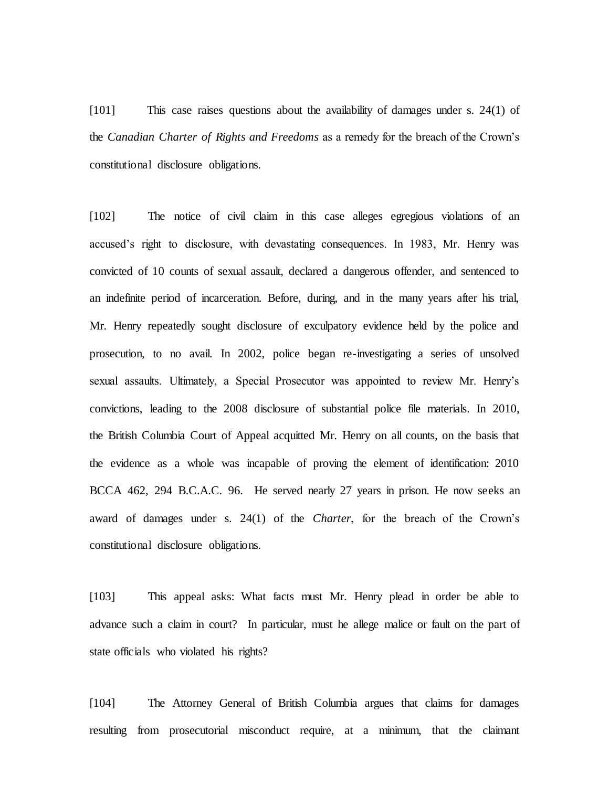[101] This case raises questions about the availability of damages under s. 24(1) of the *Canadian Charter of Rights and Freedoms* as a remedy for the breach of the Crown's constitutional disclosure obligations.

[102] The notice of civil claim in this case alleges egregious violations of an accused's right to disclosure, with devastating consequences. In 1983, Mr. Henry was convicted of 10 counts of sexual assault, declared a dangerous offender, and sentenced to an indefinite period of incarceration. Before, during, and in the many years after his trial, Mr. Henry repeatedly sought disclosure of exculpatory evidence held by the police and prosecution, to no avail. In 2002, police began re-investigating a series of unsolved sexual assaults. Ultimately, a Special Prosecutor was appointed to review Mr. Henry's convictions, leading to the 2008 disclosure of substantial police file materials. In 2010, the British Columbia Court of Appeal acquitted Mr. Henry on all counts, on the basis that the evidence as a whole was incapable of proving the element of identification: 2010 BCCA 462, 294 B.C.A.C. 96. He served nearly 27 years in prison. He now seeks an award of damages under s. 24(1) of the *Charter*, for the breach of the Crown's constitutional disclosure obligations.

[103] This appeal asks: What facts must Mr. Henry plead in order be able to advance such a claim in court? In particular, must he allege malice or fault on the part of state officials who violated his rights?

[104] The Attorney General of British Columbia argues that claims for damages resulting from prosecutorial misconduct require, at a minimum, that the claimant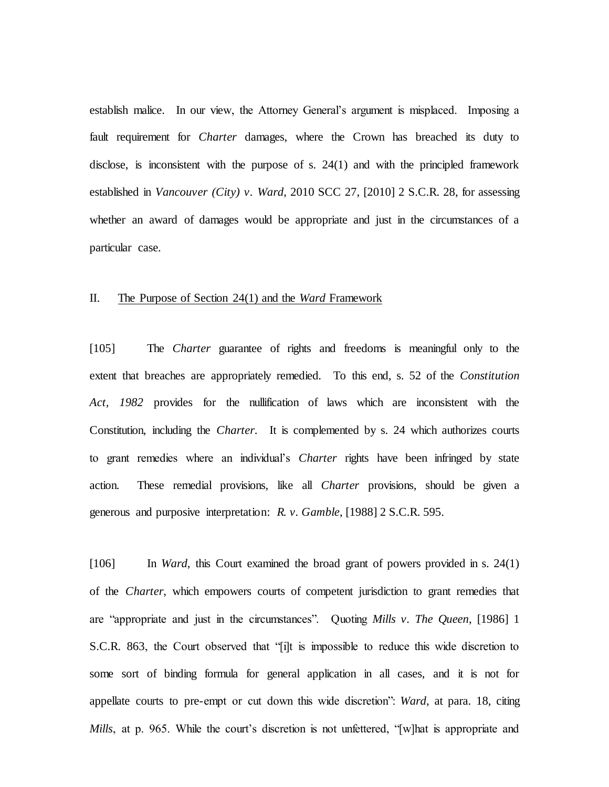establish malice. In our view, the Attorney General's argument is misplaced. Imposing a fault requirement for *Charter* damages, where the Crown has breached its duty to disclose, is inconsistent with the purpose of s. 24(1) and with the principled framework established in *Vancouver (City) v. Ward*, 2010 SCC 27, [2010] 2 S.C.R. 28, for assessing whether an award of damages would be appropriate and just in the circumstances of a particular case.

### II. The Purpose of Section 24(1) and the *Ward* Framework

[105] The *Charter* guarantee of rights and freedoms is meaningful only to the extent that breaches are appropriately remedied. To this end, s. 52 of the *Constitution Act, 1982* provides for the nullification of laws which are inconsistent with the Constitution, including the *Charter*. It is complemented by s. 24 which authorizes courts to grant remedies where an individual's *Charter* rights have been infringed by state action. These remedial provisions, like all *Charter* provisions, should be given a generous and purposive interpretation: *R. v. Gamble*, [1988] 2 S.C.R. 595.

[106] In *Ward*, this Court examined the broad grant of powers provided in s. 24(1) of the *Charter*, which empowers courts of competent jurisdiction to grant remedies that are "appropriate and just in the circumstances". Quoting *Mills v. The Queen*, [1986] 1 S.C.R. 863, the Court observed that "[i]t is impossible to reduce this wide discretion to some sort of binding formula for general application in all cases, and it is not for appellate courts to pre-empt or cut down this wide discretion": *Ward*, at para. 18, citing *Mills*, at p. 965. While the court's discretion is not unfettered, "[w]hat is appropriate and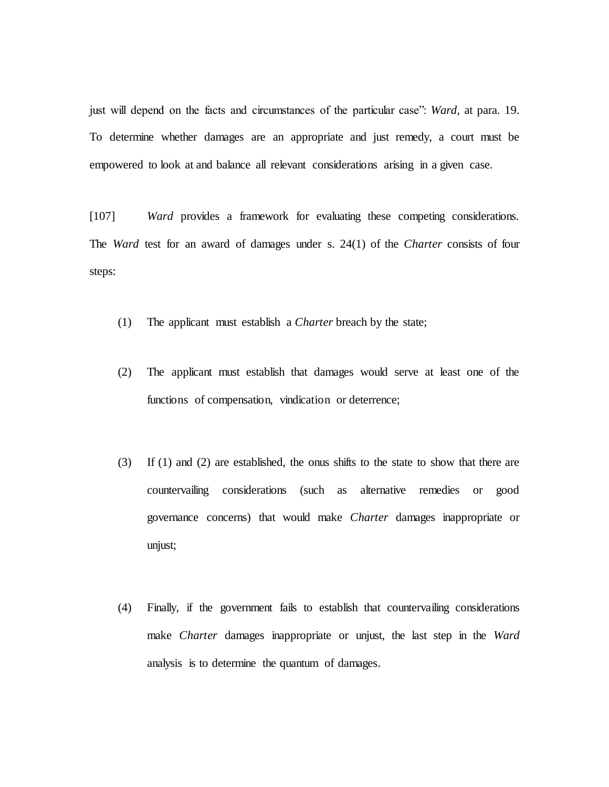just will depend on the facts and circumstances of the particular case": *Ward*, at para. 19. To determine whether damages are an appropriate and just remedy, a court must be empowered to look at and balance all relevant considerations arising in a given case.

[107] *Ward* provides a framework for evaluating these competing considerations. The *Ward* test for an award of damages under s. 24(1) of the *Charter* consists of four steps:

- (1) The applicant must establish a *Charter* breach by the state;
- (2) The applicant must establish that damages would serve at least one of the functions of compensation, vindication or deterrence;
- (3) If (1) and (2) are established, the onus shifts to the state to show that there are countervailing considerations (such as alternative remedies or good governance concerns) that would make *Charter* damages inappropriate or unjust;
- (4) Finally, if the government fails to establish that countervailing considerations make *Charter* damages inappropriate or unjust, the last step in the *Ward*  analysis is to determine the quantum of damages.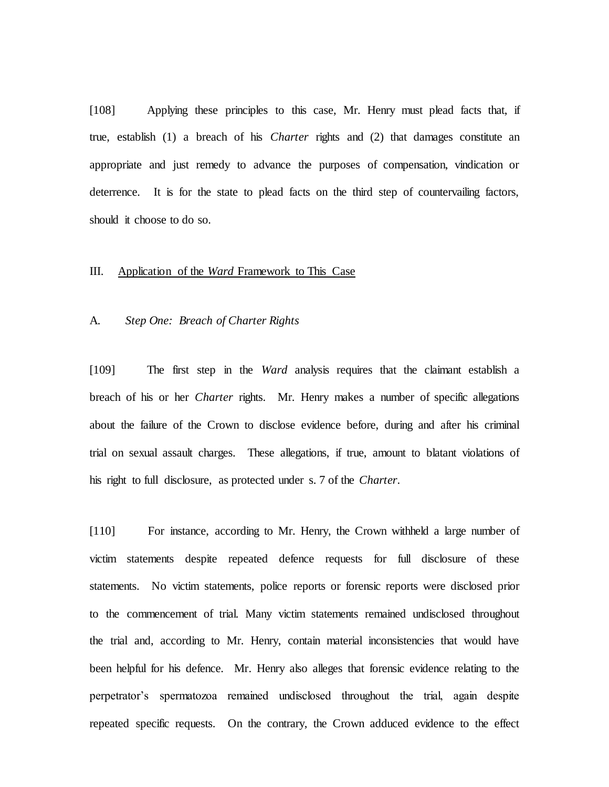[108] Applying these principles to this case, Mr. Henry must plead facts that, if true, establish (1) a breach of his *Charter* rights and (2) that damages constitute an appropriate and just remedy to advance the purposes of compensation, vindication or deterrence. It is for the state to plead facts on the third step of countervailing factors, should it choose to do so.

#### III. Application of the *Ward* Framework to This Case

#### A*. Step One: Breach of Charter Rights*

[109] The first step in the *Ward* analysis requires that the claimant establish a breach of his or her *Charter* rights. Mr. Henry makes a number of specific allegations about the failure of the Crown to disclose evidence before, during and after his criminal trial on sexual assault charges. These allegations, if true, amount to blatant violations of his right to full disclosure, as protected under s. 7 of the *Charter*.

[110] For instance, according to Mr. Henry, the Crown withheld a large number of victim statements despite repeated defence requests for full disclosure of these statements. No victim statements, police reports or forensic reports were disclosed prior to the commencement of trial. Many victim statements remained undisclosed throughout the trial and, according to Mr. Henry, contain material inconsistencies that would have been helpful for his defence. Mr. Henry also alleges that forensic evidence relating to the perpetrator's spermatozoa remained undisclosed throughout the trial, again despite repeated specific requests. On the contrary, the Crown adduced evidence to the effect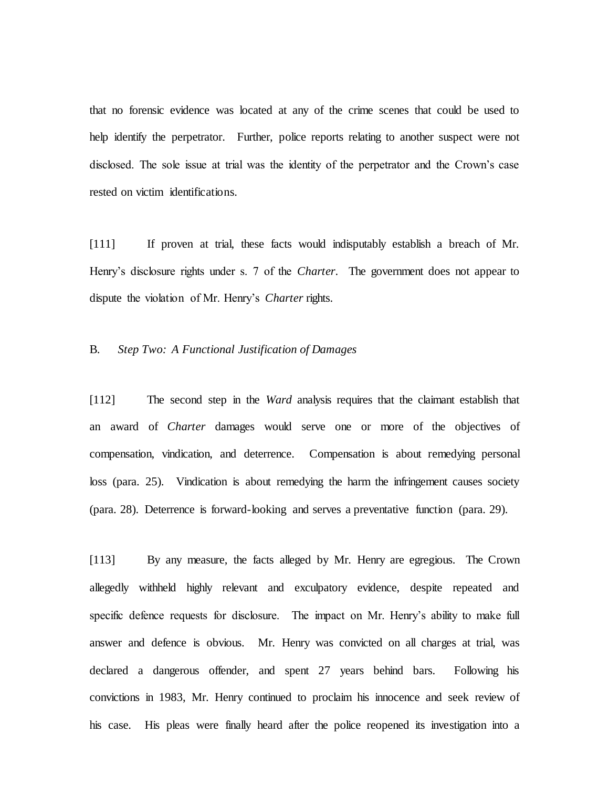that no forensic evidence was located at any of the crime scenes that could be used to help identify the perpetrator. Further, police reports relating to another suspect were not disclosed. The sole issue at trial was the identity of the perpetrator and the Crown's case rested on victim identifications.

[111] If proven at trial, these facts would indisputably establish a breach of Mr. Henry's disclosure rights under s. 7 of the *Charter*. The government does not appear to dispute the violation of Mr. Henry's *Charter* rights.

# B. *Step Two: A Functional Justification of Damages*

[112] The second step in the *Ward* analysis requires that the claimant establish that an award of *Charter* damages would serve one or more of the objectives of compensation, vindication, and deterrence. Compensation is about remedying personal loss (para. 25). Vindication is about remedying the harm the infringement causes society (para. 28). Deterrence is forward-looking and serves a preventative function (para. 29).

[113] By any measure, the facts alleged by Mr. Henry are egregious. The Crown allegedly withheld highly relevant and exculpatory evidence, despite repeated and specific defence requests for disclosure. The impact on Mr. Henry's ability to make full answer and defence is obvious. Mr. Henry was convicted on all charges at trial, was declared a dangerous offender, and spent 27 years behind bars. Following his convictions in 1983, Mr. Henry continued to proclaim his innocence and seek review of his case. His pleas were finally heard after the police reopened its investigation into a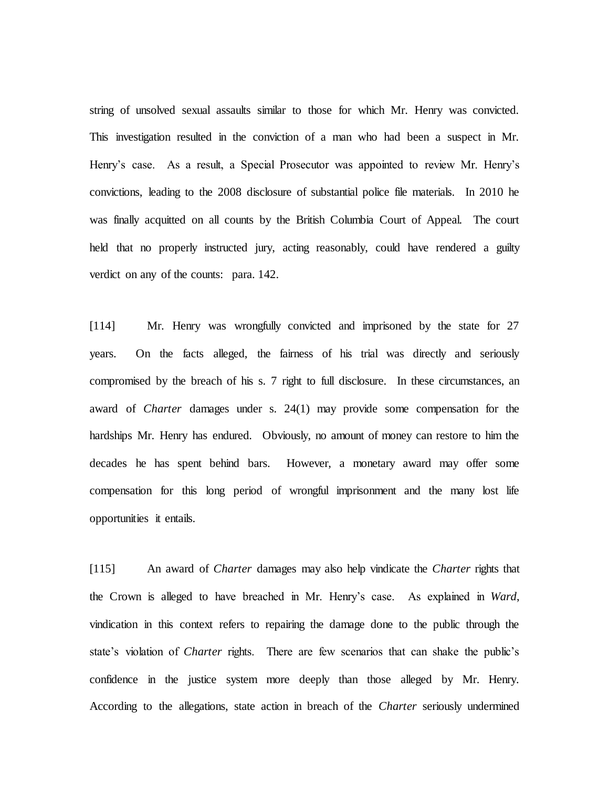string of unsolved sexual assaults similar to those for which Mr. Henry was convicted. This investigation resulted in the conviction of a man who had been a suspect in Mr. Henry's case. As a result, a Special Prosecutor was appointed to review Mr. Henry's convictions, leading to the 2008 disclosure of substantial police file materials. In 2010 he was finally acquitted on all counts by the British Columbia Court of Appeal. The court held that no properly instructed jury, acting reasonably, could have rendered a guilty verdict on any of the counts: para. 142.

[114] Mr. Henry was wrongfully convicted and imprisoned by the state for 27 years. On the facts alleged, the fairness of his trial was directly and seriously compromised by the breach of his s. 7 right to full disclosure. In these circumstances, an award of *Charter* damages under s. 24(1) may provide some compensation for the hardships Mr. Henry has endured. Obviously, no amount of money can restore to him the decades he has spent behind bars. However, a monetary award may offer some compensation for this long period of wrongful imprisonment and the many lost life opportunities it entails.

[115] An award of *Charter* damages may also help vindicate the *Charter* rights that the Crown is alleged to have breached in Mr. Henry's case. As explained in *Ward*, vindication in this context refers to repairing the damage done to the public through the state's violation of *Charter* rights. There are few scenarios that can shake the public's confidence in the justice system more deeply than those alleged by Mr. Henry. According to the allegations, state action in breach of the *Charter* seriously undermined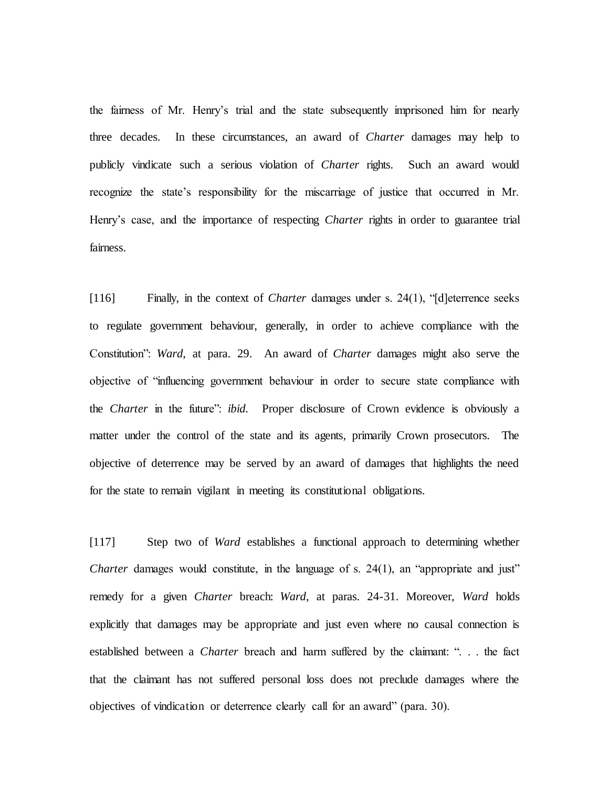the fairness of Mr. Henry's trial and the state subsequently imprisoned him for nearly three decades. In these circumstances, an award of *Charter* damages may help to publicly vindicate such a serious violation of *Charter* rights. Such an award would recognize the state's responsibility for the miscarriage of justice that occurred in Mr. Henry's case, and the importance of respecting *Charter* rights in order to guarantee trial fairness.

[116] Finally, in the context of *Charter* damages under s. 24(1), "[d]eterrence seeks to regulate government behaviour, generally, in order to achieve compliance with the Constitution": *Ward*, at para. 29. An award of *Charter* damages might also serve the objective of "influencing government behaviour in order to secure state compliance with the *Charter* in the future": *ibid.* Proper disclosure of Crown evidence is obviously a matter under the control of the state and its agents, primarily Crown prosecutors. The objective of deterrence may be served by an award of damages that highlights the need for the state to remain vigilant in meeting its constitutional obligations.

[117] Step two of *Ward* establishes a functional approach to determining whether *Charter* damages would constitute, in the language of s. 24(1), an "appropriate and just" remedy for a given *Charter* breach: *Ward*, at paras. 24-31. Moreover, *Ward* holds explicitly that damages may be appropriate and just even where no causal connection is established between a *Charter* breach and harm suffered by the claimant: ". . . the fact that the claimant has not suffered personal loss does not preclude damages where the objectives of vindication or deterrence clearly call for an award" (para. 30).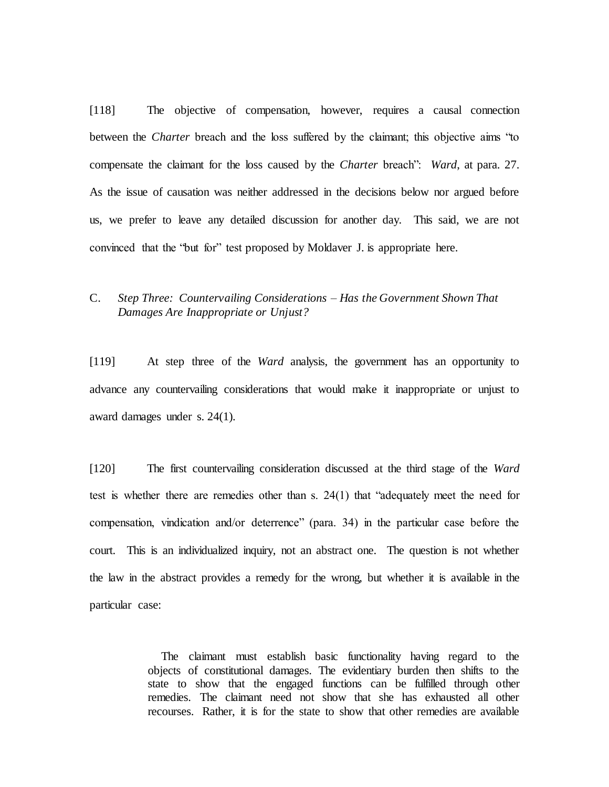[118] The objective of compensation, however, requires a causal connection between the *Charter* breach and the loss suffered by the claimant; this objective aims "to compensate the claimant for the loss caused by the *Charter* breach": *Ward*, at para. 27. As the issue of causation was neither addressed in the decisions below nor argued before us, we prefer to leave any detailed discussion for another day. This said, we are not convinced that the "but for" test proposed by Moldaver J. is appropriate here.

# C. *Step Three: Countervailing Considerations – Has the Government Shown That Damages Are Inappropriate or Unjust?*

[119] At step three of the *Ward* analysis, the government has an opportunity to advance any countervailing considerations that would make it inappropriate or unjust to award damages under s. 24(1).

[120] The first countervailing consideration discussed at the third stage of the *Ward* test is whether there are remedies other than s. 24(1) that "adequately meet the need for compensation, vindication and/or deterrence" (para. 34) in the particular case before the court. This is an individualized inquiry, not an abstract one. The question is not whether the law in the abstract provides a remedy for the wrong, but whether it is available in the particular case:

> The claimant must establish basic functionality having regard to the objects of constitutional damages. The evidentiary burden then shifts to the state to show that the engaged functions can be fulfilled through other remedies. The claimant need not show that she has exhausted all other recourses. Rather, it is for the state to show that other remedies are available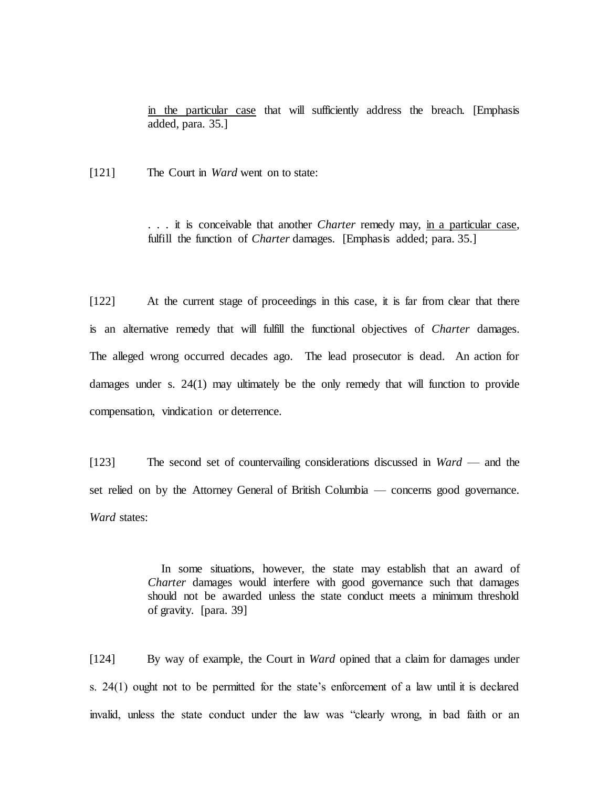in the particular case that will sufficiently address the breach. [Emphasis added, para. 35.]

[121] The Court in *Ward* went on to state:

. . . it is conceivable that another *Charter* remedy may, in a particular case, fulfill the function of *Charter* damages. [Emphasis added; para. 35.]

[122] At the current stage of proceedings in this case, it is far from clear that there is an alternative remedy that will fulfill the functional objectives of *Charter* damages. The alleged wrong occurred decades ago. The lead prosecutor is dead. An action for damages under s. 24(1) may ultimately be the only remedy that will function to provide compensation, vindication or deterrence.

[123] The second set of countervailing considerations discussed in *Ward* — and the set relied on by the Attorney General of British Columbia — concerns good governance. *Ward* states:

> In some situations, however, the state may establish that an award of *Charter* damages would interfere with good governance such that damages should not be awarded unless the state conduct meets a minimum threshold of gravity. [para. 39]

[124] By way of example, the Court in *Ward* opined that a claim for damages under s. 24(1) ought not to be permitted for the state's enforcement of a law until it is declared invalid, unless the state conduct under the law was "clearly wrong, in bad faith or an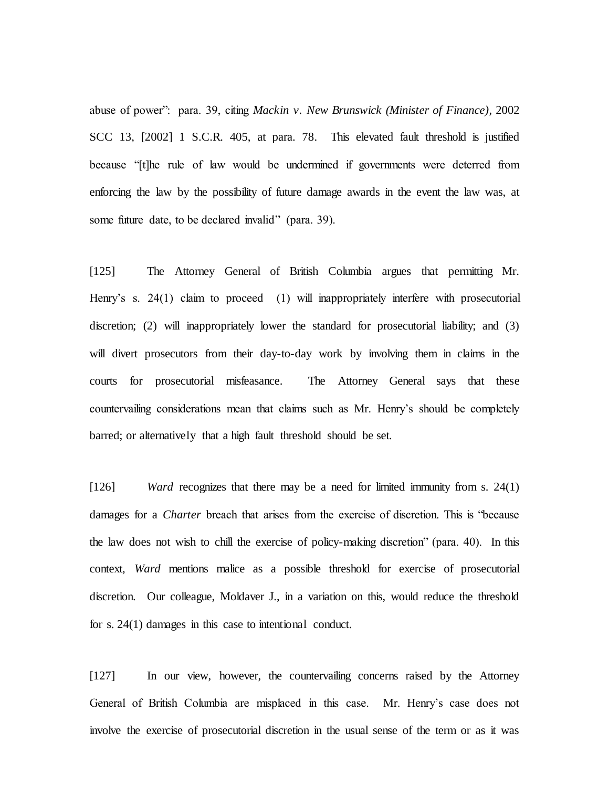abuse of power": para. 39, citing *Mackin v. New Brunswick (Minister of Finance)*, 2002 SCC 13, [2002] 1 S.C.R. 405, at para. 78. This elevated fault threshold is justified because "[t]he rule of law would be undermined if governments were deterred from enforcing the law by the possibility of future damage awards in the event the law was, at some future date, to be declared invalid" (para. 39).

[125] The Attorney General of British Columbia argues that permitting Mr. Henry's s. 24(1) claim to proceed (1) will inappropriately interfere with prosecutorial discretion; (2) will inappropriately lower the standard for prosecutorial liability; and (3) will divert prosecutors from their day-to-day work by involving them in claims in the courts for prosecutorial misfeasance. The Attorney General says that these countervailing considerations mean that claims such as Mr. Henry's should be completely barred; or alternatively that a high fault threshold should be set.

[126] *Ward* recognizes that there may be a need for limited immunity from s. 24(1) damages for a *Charter* breach that arises from the exercise of discretion. This is "because the law does not wish to chill the exercise of policy-making discretion" (para. 40). In this context, *Ward* mentions malice as a possible threshold for exercise of prosecutorial discretion. Our colleague, Moldaver J., in a variation on this, would reduce the threshold for s. 24(1) damages in this case to intentional conduct.

[127] In our view, however, the countervailing concerns raised by the Attorney General of British Columbia are misplaced in this case. Mr. Henry's case does not involve the exercise of prosecutorial discretion in the usual sense of the term or as it was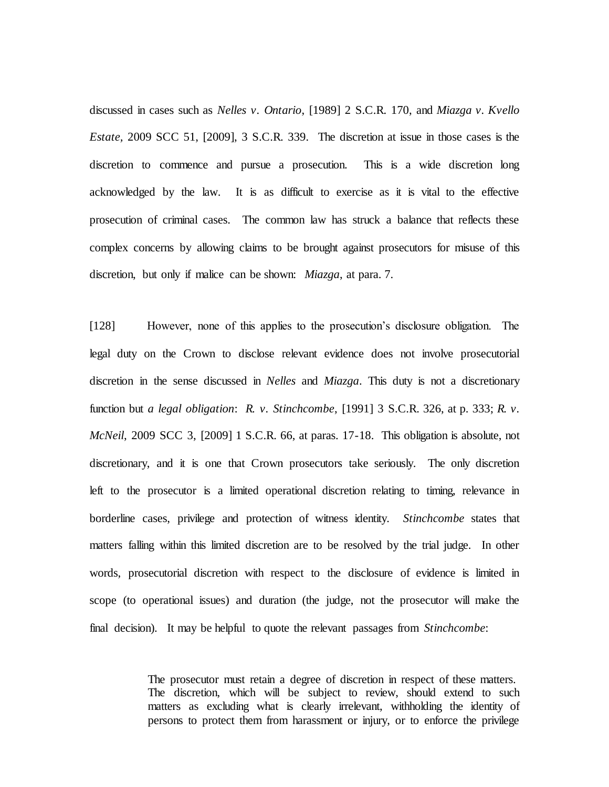discussed in cases such as *Nelles v. Ontario*, [1989] 2 S.C.R. 170, and *Miazga v. Kvello Estate,* 2009 SCC 51, [2009], 3 S.C.R. 339*.* The discretion at issue in those cases is the discretion to commence and pursue a prosecution. This is a wide discretion long acknowledged by the law. It is as difficult to exercise as it is vital to the effective prosecution of criminal cases. The common law has struck a balance that reflects these complex concerns by allowing claims to be brought against prosecutors for misuse of this discretion, but only if malice can be shown: *Miazga*, at para. 7.

[128] However, none of this applies to the prosecution's disclosure obligation. The legal duty on the Crown to disclose relevant evidence does not involve prosecutorial discretion in the sense discussed in *Nelles* and *Miazga*. This duty is not a discretionary function but *a legal obligation*: *R. v. Stinchcombe*, [1991] 3 S.C.R. 326, at p. 333; *R. v. McNeil*, 2009 SCC 3, [2009] 1 S.C.R. 66, at paras. 17-18. This obligation is absolute, not discretionary, and it is one that Crown prosecutors take seriously. The only discretion left to the prosecutor is a limited operational discretion relating to timing, relevance in borderline cases, privilege and protection of witness identity. *Stinchcombe* states that matters falling within this limited discretion are to be resolved by the trial judge. In other words, prosecutorial discretion with respect to the disclosure of evidence is limited in scope (to operational issues) and duration (the judge, not the prosecutor will make the final decision). It may be helpful to quote the relevant passages from *Stinchcombe*:

> The prosecutor must retain a degree of discretion in respect of these matters. The discretion, which will be subject to review, should extend to such matters as excluding what is clearly irrelevant, withholding the identity of persons to protect them from harassment or injury, or to enforce the privilege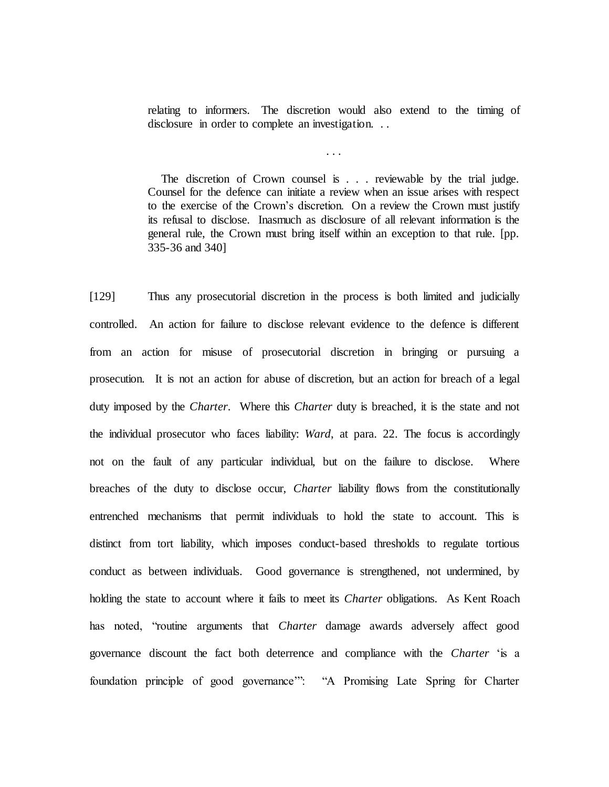relating to informers. The discretion would also extend to the timing of disclosure in order to complete an investigation. . .

. . .

The discretion of Crown counsel is . . . reviewable by the trial judge. Counsel for the defence can initiate a review when an issue arises with respect to the exercise of the Crown's discretion. On a review the Crown must justify its refusal to disclose. Inasmuch as disclosure of all relevant information is the general rule, the Crown must bring itself within an exception to that rule. [pp. 335-36 and 340]

[129] Thus any prosecutorial discretion in the process is both limited and judicially controlled. An action for failure to disclose relevant evidence to the defence is different from an action for misuse of prosecutorial discretion in bringing or pursuing a prosecution. It is not an action for abuse of discretion, but an action for breach of a legal duty imposed by the *Charter*. Where this *Charter* duty is breached, it is the state and not the individual prosecutor who faces liability: *Ward*, at para. 22. The focus is accordingly not on the fault of any particular individual, but on the failure to disclose. Where breaches of the duty to disclose occur, *Charter* liability flows from the constitutionally entrenched mechanisms that permit individuals to hold the state to account. This is distinct from tort liability, which imposes conduct-based thresholds to regulate tortious conduct as between individuals. Good governance is strengthened, not undermined, by holding the state to account where it fails to meet its *Charter* obligations. As Kent Roach has noted, "routine arguments that *Charter* damage awards adversely affect good governance discount the fact both deterrence and compliance with the *Charter* 'is a foundation principle of good governance'": "A Promising Late Spring for Charter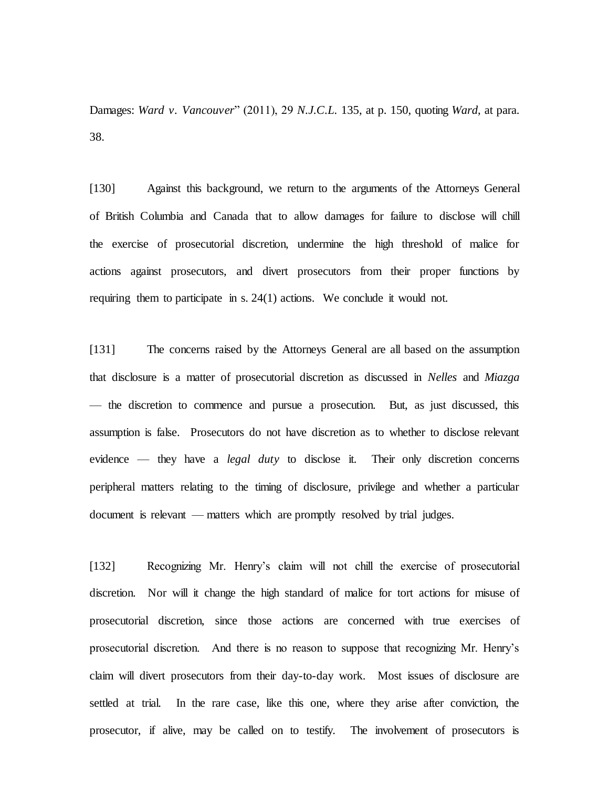Damages: *Ward v. Vancouver*" (2011), 29 *N.J.C.L.* 135, at p. 150, quoting *Ward*, at para. 38.

[130] Against this background, we return to the arguments of the Attorneys General of British Columbia and Canada that to allow damages for failure to disclose will chill the exercise of prosecutorial discretion, undermine the high threshold of malice for actions against prosecutors, and divert prosecutors from their proper functions by requiring them to participate in s. 24(1) actions. We conclude it would not.

[131] The concerns raised by the Attorneys General are all based on the assumption that disclosure is a matter of prosecutorial discretion as discussed in *Nelles* and *Miazga* — the discretion to commence and pursue a prosecution. But, as just discussed, this assumption is false. Prosecutors do not have discretion as to whether to disclose relevant evidence — they have a *legal duty* to disclose it. Their only discretion concerns peripheral matters relating to the timing of disclosure, privilege and whether a particular document is relevant — matters which are promptly resolved by trial judges.

[132] Recognizing Mr. Henry's claim will not chill the exercise of prosecutorial discretion. Nor will it change the high standard of malice for tort actions for misuse of prosecutorial discretion, since those actions are concerned with true exercises of prosecutorial discretion. And there is no reason to suppose that recognizing Mr. Henry's claim will divert prosecutors from their day-to-day work. Most issues of disclosure are settled at trial. In the rare case, like this one, where they arise after conviction, the prosecutor, if alive, may be called on to testify. The involvement of prosecutors is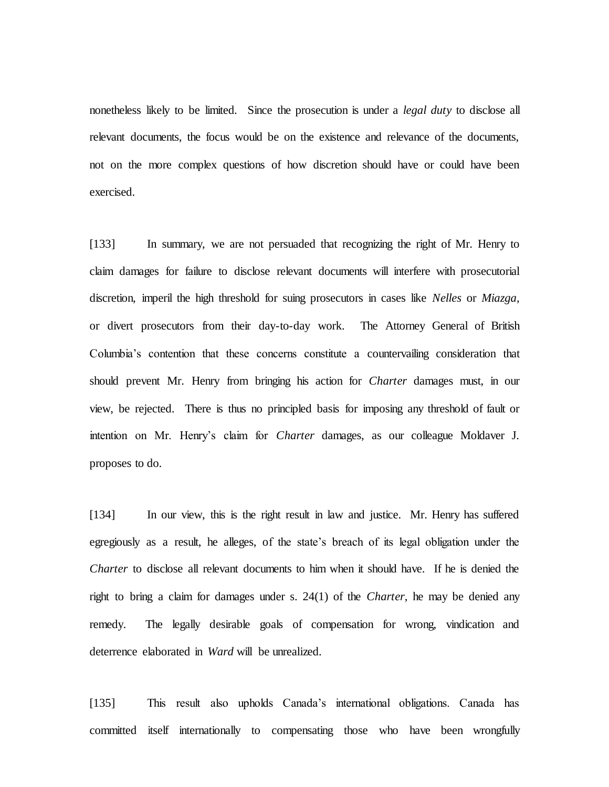nonetheless likely to be limited. Since the prosecution is under a *legal duty* to disclose all relevant documents, the focus would be on the existence and relevance of the documents, not on the more complex questions of how discretion should have or could have been exercised.

[133] In summary, we are not persuaded that recognizing the right of Mr. Henry to claim damages for failure to disclose relevant documents will interfere with prosecutorial discretion, imperil the high threshold for suing prosecutors in cases like *Nelles* or *Miazga*, or divert prosecutors from their day-to-day work. The Attorney General of British Columbia's contention that these concerns constitute a countervailing consideration that should prevent Mr. Henry from bringing his action for *Charter* damages must, in our view, be rejected. There is thus no principled basis for imposing any threshold of fault or intention on Mr. Henry's claim for *Charter* damages, as our colleague Moldaver J. proposes to do.

[134] In our view, this is the right result in law and justice. Mr. Henry has suffered egregiously as a result, he alleges, of the state's breach of its legal obligation under the *Charter* to disclose all relevant documents to him when it should have. If he is denied the right to bring a claim for damages under s. 24(1) of the *Charter*, he may be denied any remedy. The legally desirable goals of compensation for wrong, vindication and deterrence elaborated in *Ward* will be unrealized.

[135] This result also upholds Canada's international obligations. Canada has committed itself internationally to compensating those who have been wrongfully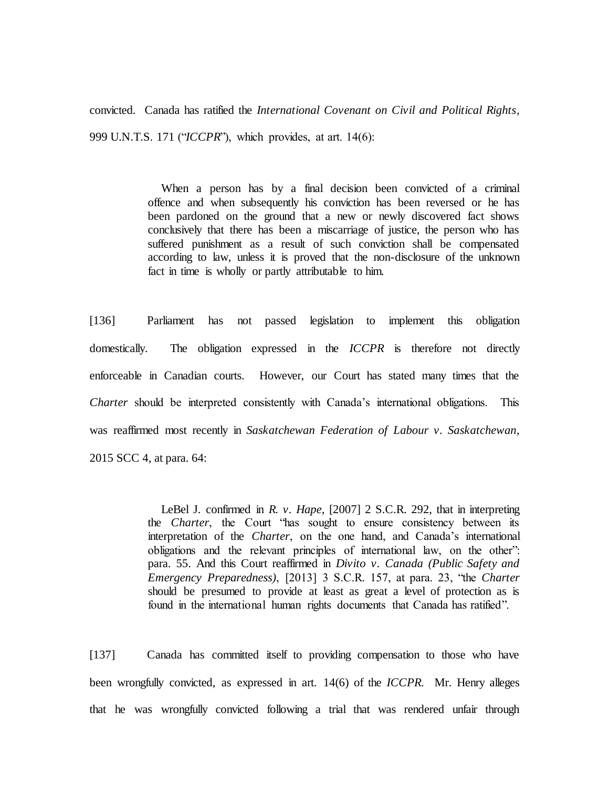convicted. Canada has ratified the *International Covenant on Civil and Political Rights*, 999 U.N.T.S. 171 ("*ICCPR*"), which provides, at art. 14(6):

> When a person has by a final decision been convicted of a criminal offence and when subsequently his conviction has been reversed or he has been pardoned on the ground that a new or newly discovered fact shows conclusively that there has been a miscarriage of justice, the person who has suffered punishment as a result of such conviction shall be compensated according to law, unless it is proved that the non-disclosure of the unknown fact in time is wholly or partly attributable to him.

[136] Parliament has not passed legislation to implement this obligation domestically. The obligation expressed in the *ICCPR* is therefore not directly enforceable in Canadian courts. However, our Court has stated many times that the *Charter* should be interpreted consistently with Canada's international obligations. This was reaffirmed most recently in *Saskatchewan Federation of Labour v. Saskatchewan*, 2015 SCC 4, at para. 64:

> LeBel J. confirmed in *R. v. Hape*, [2007] 2 S.C.R. 292, that in interpreting the *Charter*, the Court "has sought to ensure consistency between its interpretation of the *Charter*, on the one hand, and Canada's international obligations and the relevant principles of international law, on the other": para. 55. And this Court reaffirmed in *Divito v. Canada (Public Safety and Emergency Preparedness)*, [2013] 3 S.C.R. 157, at para. 23, "the *Charter* should be presumed to provide at least as great a level of protection as is found in the international human rights documents that Canada has ratified".

[137] Canada has committed itself to providing compensation to those who have been wrongfully convicted, as expressed in art. 14(6) of the *ICCPR*. Mr. Henry alleges that he was wrongfully convicted following a trial that was rendered unfair through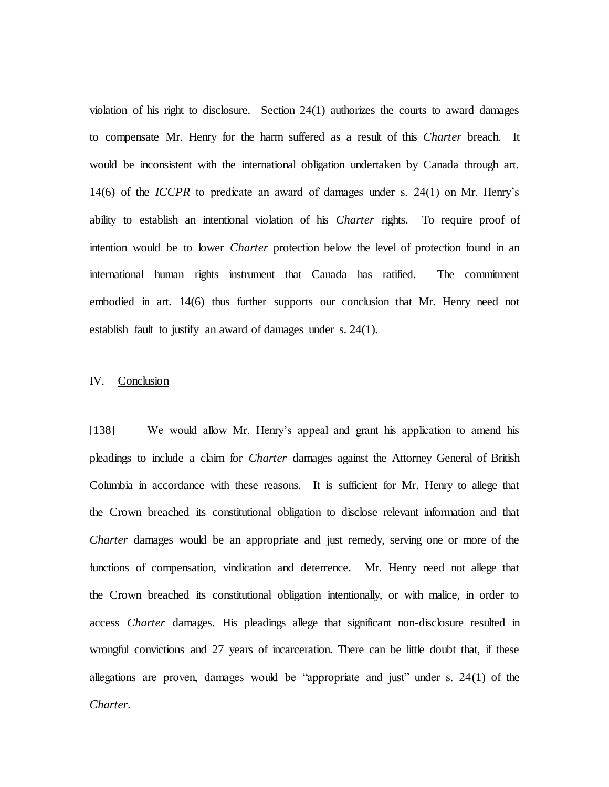violation of his right to disclosure. Section 24(1) authorizes the courts to award damages to compensate Mr. Henry for the harm suffered as a result of this *Charter* breach. It would be inconsistent with the international obligation undertaken by Canada through art. 14(6) of the *ICCPR* to predicate an award of damages under s. 24(1) on Mr. Henry's ability to establish an intentional violation of his *Charter* rights. To require proof of intention would be to lower *Charter* protection below the level of protection found in an international human rights instrument that Canada has ratified. The commitment embodied in art. 14(6) thus further supports our conclusion that Mr. Henry need not establish fault to justify an award of damages under s. 24(1).

## IV. Conclusion

[138] We would allow Mr. Henry's appeal and grant his application to amend his pleadings to include a claim for *Charter* damages against the Attorney General of British Columbia in accordance with these reasons. It is sufficient for Mr. Henry to allege that the Crown breached its constitutional obligation to disclose relevant information and that *Charter* damages would be an appropriate and just remedy, serving one or more of the functions of compensation, vindication and deterrence. Mr. Henry need not allege that the Crown breached its constitutional obligation intentionally, or with malice, in order to access *Charter* damages. His pleadings allege that significant non-disclosure resulted in wrongful convictions and 27 years of incarceration. There can be little doubt that, if these allegations are proven, damages would be "appropriate and just" under s. 24(1) of the *Charter*.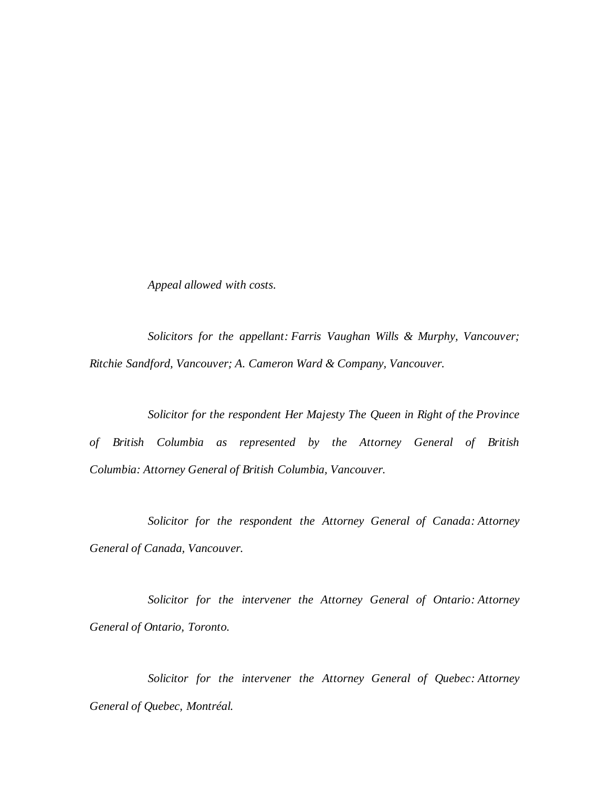*Appeal allowed with costs.*

*Solicitors for the appellant: Farris Vaughan Wills & Murphy, Vancouver; Ritchie Sandford, Vancouver; A. Cameron Ward & Company, Vancouver.*

*Solicitor for the respondent Her Majesty The Queen in Right of the Province of British Columbia as represented by the Attorney General of British Columbia: Attorney General of British Columbia, Vancouver.*

*Solicitor for the respondent the Attorney General of Canada: Attorney General of Canada, Vancouver.*

*Solicitor for the intervener the Attorney General of Ontario: Attorney General of Ontario, Toronto.*

*Solicitor for the intervener the Attorney General of Quebec: Attorney General of Quebec, Montréal.*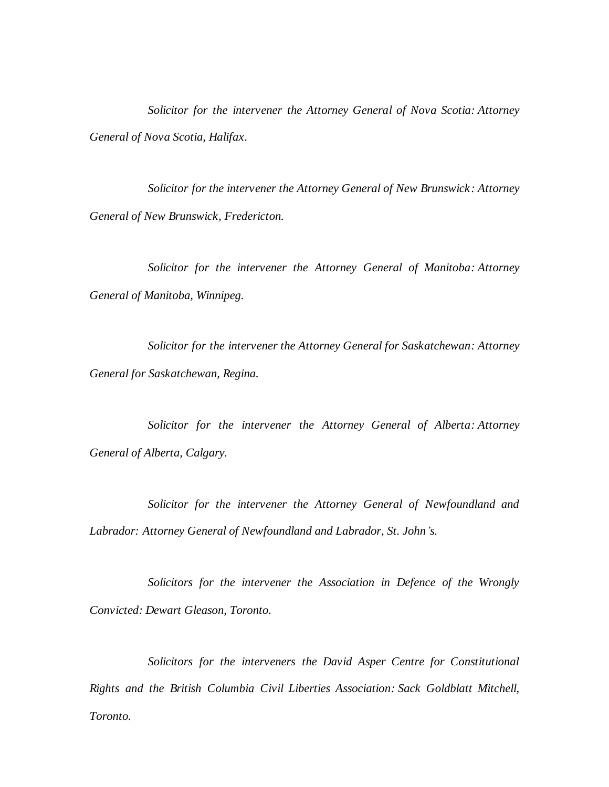*Solicitor for the intervener the Attorney General of Nova Scotia: Attorney General of Nova Scotia, Halifax.*

*Solicitor for the intervener the Attorney General of New Brunswick: Attorney General of New Brunswick, Fredericton.*

*Solicitor for the intervener the Attorney General of Manitoba: Attorney General of Manitoba, Winnipeg.*

*Solicitor for the intervener the Attorney General for Saskatchewan: Attorney General for Saskatchewan, Regina.*

*Solicitor for the intervener the Attorney General of Alberta: Attorney General of Alberta, Calgary.*

*Solicitor for the intervener the Attorney General of Newfoundland and Labrador: Attorney General of Newfoundland and Labrador, St. John's.*

*Solicitors for the intervener the Association in Defence of the Wrongly Convicted: Dewart Gleason, Toronto.*

*Solicitors for the interveners the David Asper Centre for Constitutional Rights and the British Columbia Civil Liberties Association: Sack Goldblatt Mitchell, Toronto.*